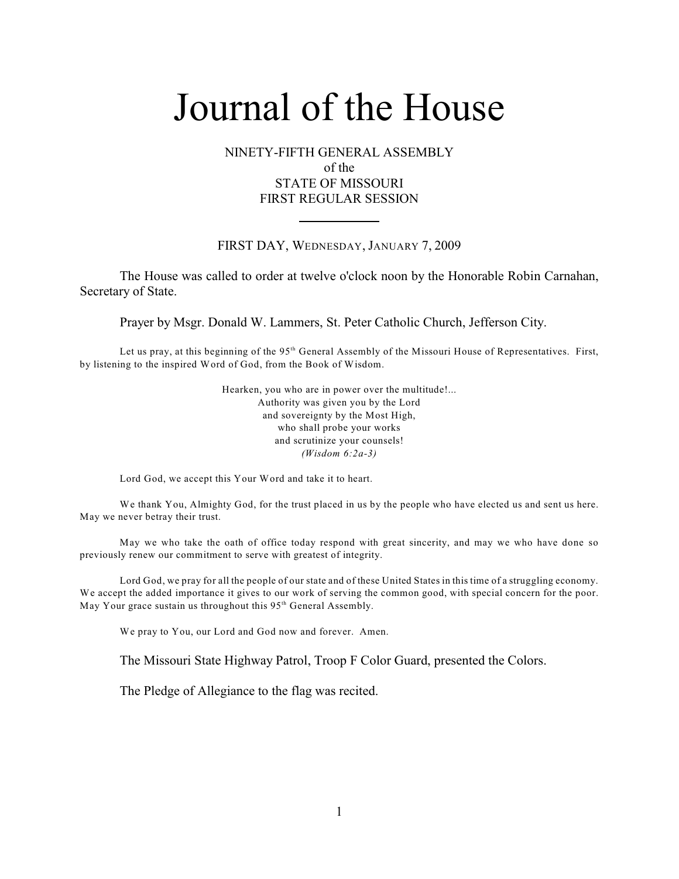## NINETY-FIFTH GENERAL ASSEMBLY of the STATE OF MISSOURI FIRST REGULAR SESSION

## FIRST DAY, WEDNESDAY, JANUARY 7, 2009

The House was called to order at twelve o'clock noon by the Honorable Robin Carnahan, Secretary of State.

Prayer by Msgr. Donald W. Lammers, St. Peter Catholic Church, Jefferson City.

Let us pray, at this beginning of the  $95<sup>th</sup>$  General Assembly of the Missouri House of Representatives. First, by listening to the inspired Word of God, from the Book of Wisdom.

> Hearken, you who are in power over the multitude!... Authority was given you by the Lord and sovereignty by the Most High, who shall probe your works and scrutinize your counsels! *(Wisdom 6:2a-3)*

Lord God, we accept this Your Word and take it to heart.

We thank You, Almighty God, for the trust placed in us by the people who have elected us and sent us here. May we never betray their trust.

May we who take the oath of office today respond with great sincerity, and may we who have done so previously renew our commitment to serve with greatest of integrity.

Lord God, we pray for all the people of our state and of these United States in this time of a struggling economy. We accept the added importance it gives to our work of serving the common good, with special concern for the poor. May Your grace sustain us throughout this  $95<sup>th</sup>$  General Assembly.

We pray to You, our Lord and God now and forever. Amen.

The Missouri State Highway Patrol, Troop F Color Guard, presented the Colors.

The Pledge of Allegiance to the flag was recited.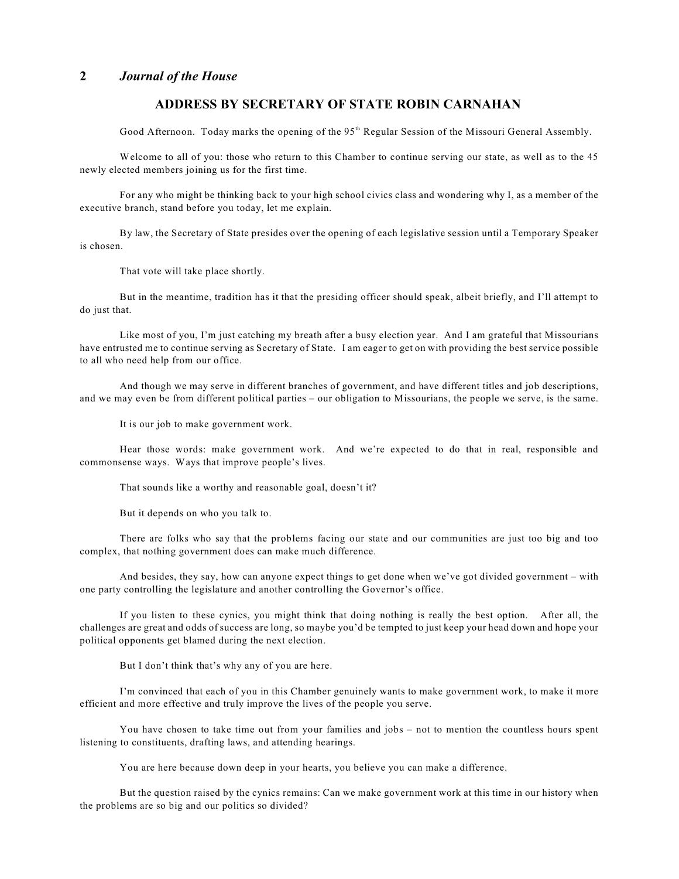## **ADDRESS BY SECRETARY OF STATE ROBIN CARNAHAN**

Good Afternoon. Today marks the opening of the  $95<sup>th</sup>$  Regular Session of the Missouri General Assembly.

Welcome to all of you: those who return to this Chamber to continue serving our state, as well as to the 45 newly elected members joining us for the first time.

For any who might be thinking back to your high school civics class and wondering why I, as a member of the executive branch, stand before you today, let me explain.

By law, the Secretary of State presides over the opening of each legislative session until a Temporary Speaker is chosen.

That vote will take place shortly.

But in the meantime, tradition has it that the presiding officer should speak, albeit briefly, and I'll attempt to do just that.

Like most of you, I'm just catching my breath after a busy election year. And I am grateful that Missourians have entrusted me to continue serving as Secretary of State. I am eager to get on with providing the best service possible to all who need help from our office.

And though we may serve in different branches of government, and have different titles and job descriptions, and we may even be from different political parties – our obligation to Missourians, the people we serve, is the same.

It is our job to make government work.

Hear those words: make government work. And we're expected to do that in real, responsible and commonsense ways. Ways that improve people's lives.

That sounds like a worthy and reasonable goal, doesn't it?

But it depends on who you talk to.

There are folks who say that the problems facing our state and our communities are just too big and too complex, that nothing government does can make much difference.

And besides, they say, how can anyone expect things to get done when we've got divided government – with one party controlling the legislature and another controlling the Governor's office.

If you listen to these cynics, you might think that doing nothing is really the best option. After all, the challenges are great and odds of success are long, so maybe you'd be tempted to just keep your head down and hope your political opponents get blamed during the next election.

But I don't think that's why any of you are here.

I'm convinced that each of you in this Chamber genuinely wants to make government work, to make it more efficient and more effective and truly improve the lives of the people you serve.

You have chosen to take time out from your families and jobs – not to mention the countless hours spent listening to constituents, drafting laws, and attending hearings.

You are here because down deep in your hearts, you believe you can make a difference.

But the question raised by the cynics remains: Can we make government work at this time in our history when the problems are so big and our politics so divided?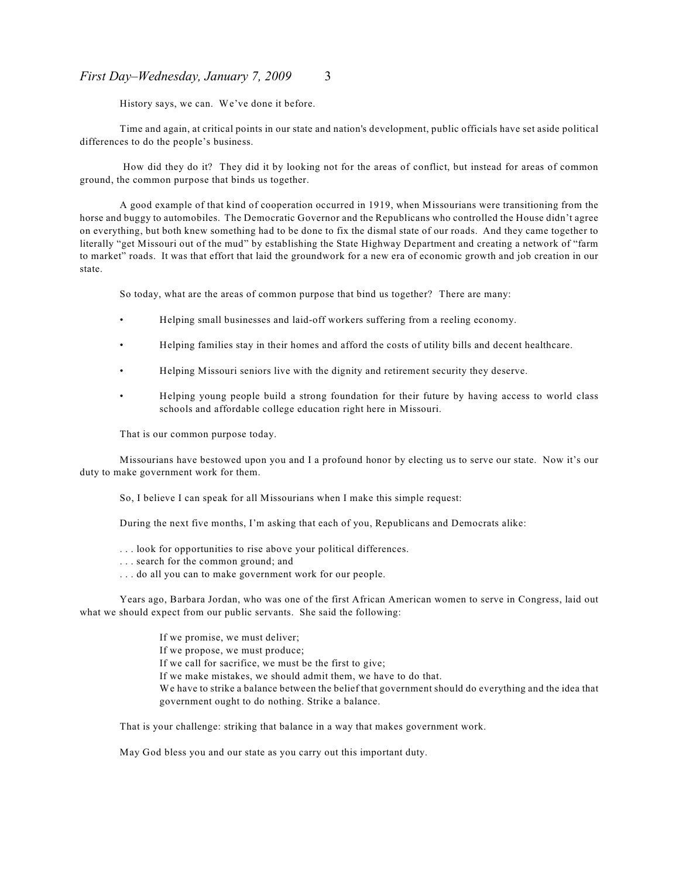#### *First Day–Wednesday, January 7, 2009* 3

History says, we can. We've done it before.

Time and again, at critical points in our state and nation's development, public officials have set aside political differences to do the people's business.

 How did they do it? They did it by looking not for the areas of conflict, but instead for areas of common ground, the common purpose that binds us together.

A good example of that kind of cooperation occurred in 1919, when Missourians were transitioning from the horse and buggy to automobiles. The Democratic Governor and the Republicans who controlled the House didn't agree on everything, but both knew something had to be done to fix the dismal state of our roads. And they came together to literally "get Missouri out of the mud" by establishing the State Highway Department and creating a network of "farm to market" roads. It was that effort that laid the groundwork for a new era of economic growth and job creation in our state.

So today, what are the areas of common purpose that bind us together? There are many:

- Helping small businesses and laid-off workers suffering from a reeling economy.
- Helping families stay in their homes and afford the costs of utility bills and decent healthcare.
- Helping Missouri seniors live with the dignity and retirement security they deserve.
- Helping young people build a strong foundation for their future by having access to world class schools and affordable college education right here in Missouri.

That is our common purpose today.

Missourians have bestowed upon you and I a profound honor by electing us to serve our state. Now it's our duty to make government work for them.

So, I believe I can speak for all Missourians when I make this simple request:

During the next five months, I'm asking that each of you, Republicans and Democrats alike:

- . . . look for opportunities to rise above your political differences.
- . . . search for the common ground; and
- . . . do all you can to make government work for our people.

Years ago, Barbara Jordan, who was one of the first African American women to serve in Congress, laid out what we should expect from our public servants. She said the following:

> If we promise, we must deliver; If we propose, we must produce; If we call for sacrifice, we must be the first to give; If we make mistakes, we should admit them, we have to do that. We have to strike a balance between the belief that government should do everything and the idea that government ought to do nothing. Strike a balance.

That is your challenge: striking that balance in a way that makes government work.

May God bless you and our state as you carry out this important duty.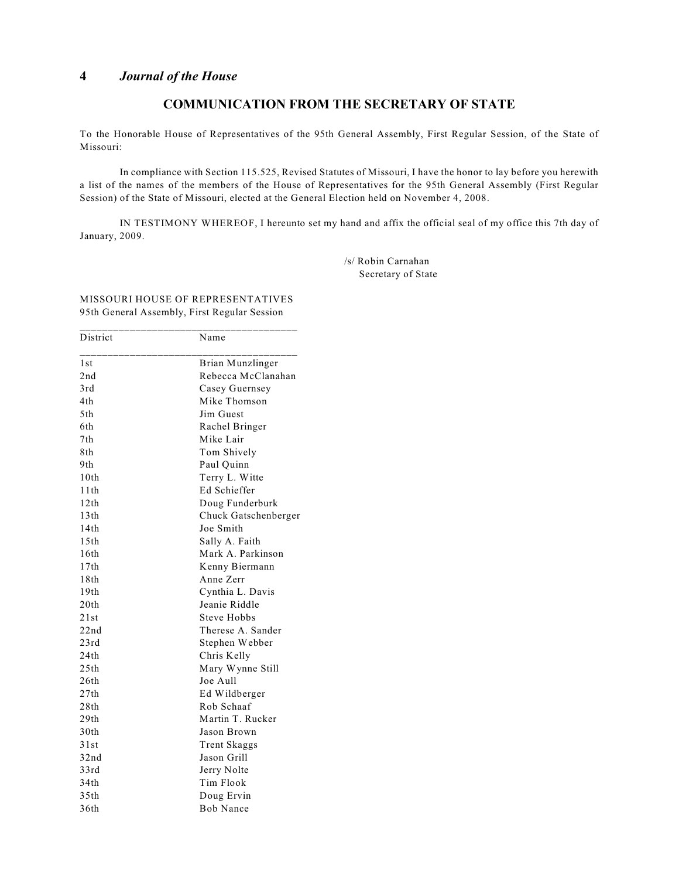## **COMMUNICATION FROM THE SECRETARY OF STATE**

To the Honorable House of Representatives of the 95th General Assembly, First Regular Session, of the State of Missouri:

In compliance with Section 115.525, Revised Statutes of Missouri, I have the honor to lay before you herewith a list of the names of the members of the House of Representatives for the 95th General Assembly (First Regular Session) of the State of Missouri, elected at the General Election held on November 4, 2008.

IN TESTIMONY WHEREOF, I hereunto set my hand and affix the official seal of my office this 7th day of January, 2009.

> /s/ Robin Carnahan Secretary of State

#### MISSOURI HOUSE OF REPRESENTATIVES 95th General Assembly, First Regular Session \_\_\_\_\_\_\_\_\_\_\_\_\_\_\_\_\_\_\_\_\_\_\_\_\_\_\_\_\_\_\_\_\_\_\_\_\_\_\_

| District         | Name                 |
|------------------|----------------------|
| 1st              | Brian Munzlinger     |
| 2nd              | Rebecca McClanahan   |
| 3rd              | Casey Guernsey       |
| 4th              | Mike Thomson         |
| 5th              | Jim Guest            |
| 6th              | Rachel Bringer       |
| 7th              | Mike Lair            |
| 8th              | Tom Shively          |
| 9th.             | Paul Quinn           |
| 10th             | Terry L. Witte       |
| 11 th            | Ed Schieffer         |
| 12th             | Doug Funderburk      |
| 13th             | Chuck Gatschenberger |
| 14th             | Joe Smith            |
| 15th             | Sally A. Faith       |
| 16th             | Mark A. Parkinson    |
| 17th             | Kenny Biermann       |
| 18th             | Anne Zerr            |
| 19 <sub>th</sub> | Cynthia L. Davis     |
| 20th             | Jeanie Riddle        |
| 21st             | Steve Hobbs          |
| 22nd             | Therese A. Sander    |
| 23rd             | Stephen Webber       |
| 24th             | Chris Kelly          |
| 25th             | Mary Wynne Still     |
| 26th             | Joe Aull             |
| 27th             | Ed Wildberger        |
| 28th             | Rob Schaaf           |
| 29th             | Martin T. Rucker     |
| 30th             | Jason Brown          |
| 31st             | <b>Trent Skaggs</b>  |
| 32nd             | Jason Grill          |
| 33rd             | Jerry Nolte          |
| 34th             | Tim Flook            |
| 35th             | Doug Ervin           |
| 36th             | <b>Bob Nance</b>     |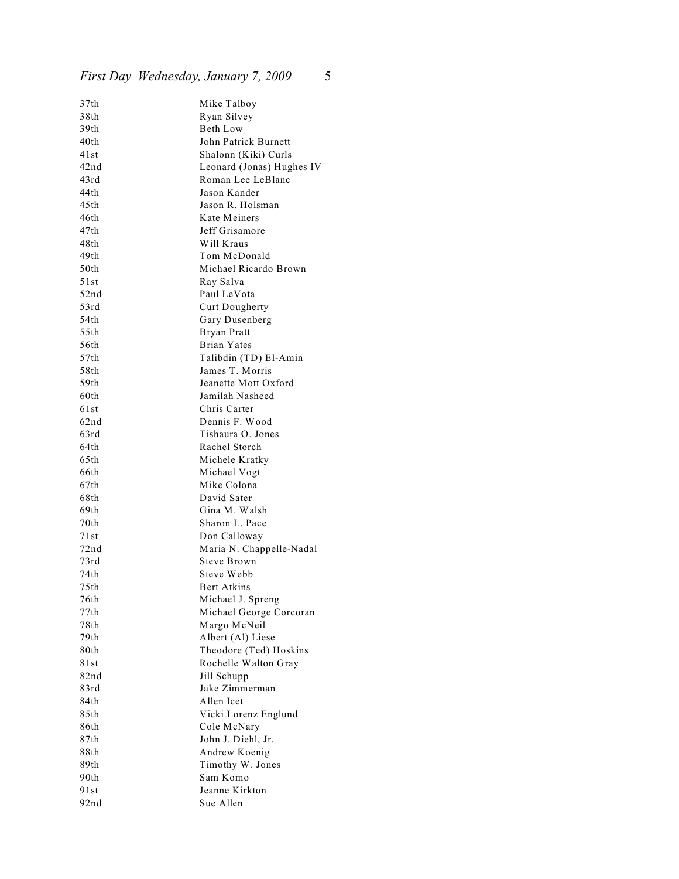# *First Day–Wednesday, January 7, 2009* 5

| 37th  | Mike Talboy               |
|-------|---------------------------|
| 38th  | Ryan Silvey               |
| 39th  | Beth Low                  |
| 40th  | John Patrick Burnett      |
| 41st  | Shalonn (Kiki) Curls      |
| 42nd  | Leonard (Jonas) Hughes IV |
| 43rd  | Roman Lee LeBlanc         |
| 44th  | Jason Kander              |
| 45th  | Jason R. Holsman          |
| 46th  | Kate Meiners              |
| 47th  | Jeff Grisamore            |
| 48th  | Will Kraus                |
| 49th  | Tom McDonald              |
| 50th  | Michael Ricardo Brown     |
| 51 st | Ray Salva                 |
| 52nd  | Paul LeVota               |
| 53rd  | <b>Curt Dougherty</b>     |
| 54th  | Gary Dusenberg            |
| 55th  | <b>Bryan Pratt</b>        |
| 56th  | Brian Yates               |
| 57th  | Talibdin (TD) El-Amin     |
| 58th  | James T. Morris           |
| 59th  | Jeanette Mott Oxford      |
| 60th  | Jamilah Nasheed           |
| 61st  | Chris Carter              |
| 62nd  | Dennis F. Wood            |
| 63rd  | Tishaura O. Jones         |
| 64th  | Rachel Storch             |
| 65th  | Michele Kratky            |
| 66th  | Michael Vogt              |
| 67th  | Mike Colona               |
| 68th  | David Sater               |
| 69th  | Gina M. Walsh             |
| 70th  | Sharon L. Pace            |
| 71 st | Don Calloway              |
| 72nd  | Maria N. Chappelle-Nadal  |
| 73rd  | Steve Brown               |
| 74th  | Steve Webb                |
| 75th  | Bert Atkins               |
| 76th  | Michael J. Spreng         |
| 77th  | Michael George Corcoran   |
| 78th  | Margo McNeil              |
| 79th  | Albert (Al) Liese         |
| 80th  | Theodore (Ted) Hoskins    |
| 81st  | Rochelle Walton Gray      |
| 82nd  | Jill Schupp               |
| 83rd  | Jake Zimmerman            |
| 84th  | Allen Icet                |
| 85th  | Vicki Lorenz Englund      |
| 86th  | Cole McNary               |
| 87th  | John J. Diehl, Jr.        |
| 88th  | Andrew Koenig             |
| 89th  | Timothy W. Jones          |
| 90th  | Sam Komo                  |
| 91st  | Jeanne Kirkton            |
| 92nd  | Sue Allen                 |
|       |                           |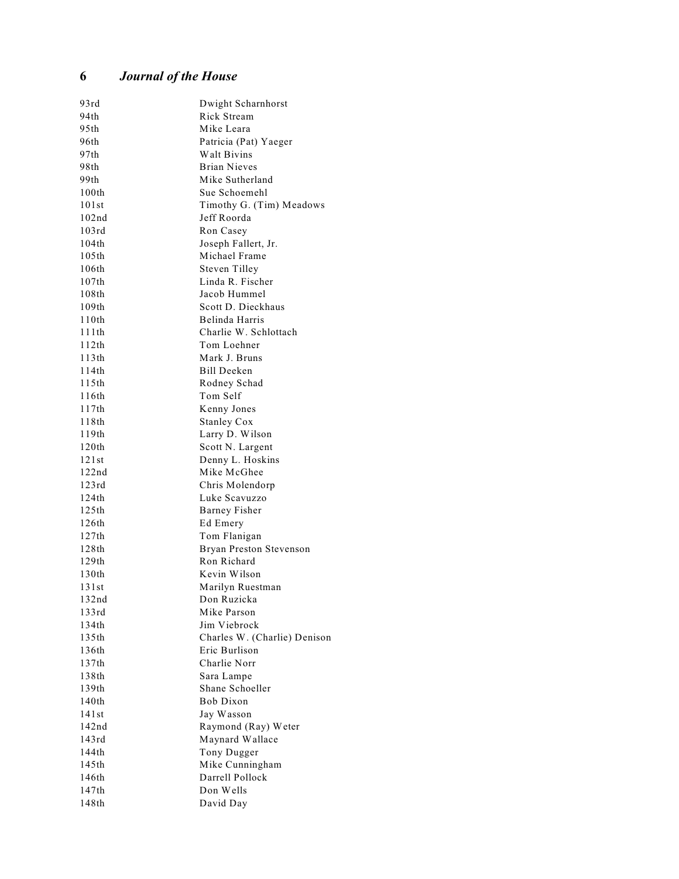| 93rd  | Dwight Scharnhorst           |
|-------|------------------------------|
| 94th  | Rick Stream                  |
| 95th  | Mike Leara                   |
| 96th  | Patricia (Pat) Yaeger        |
| 97th  | Walt Bivins                  |
| 98th  | <b>Brian Nieves</b>          |
| 99th  | Mike Sutherland              |
| 100th | Sue Schoemehl                |
| 101st | Timothy G. (Tim) Meadows     |
| 102nd | Jeff Roorda                  |
| 103rd | Ron Casey                    |
| 104th | Joseph Fallert, Jr.          |
| 105th | Michael Frame                |
| 106th | <b>Steven Tilley</b>         |
| 107th | Linda R. Fischer             |
| 108th | Jacob Hummel                 |
| 109th | Scott D. Dieckhaus           |
| 110th | Belinda Harris               |
| 111th | Charlie W. Schlottach        |
| 112th | Tom Loehner                  |
| 113th | Mark J. Bruns                |
| 114th | <b>Bill Deeken</b>           |
| 115th | Rodney Schad                 |
| 116th | Tom Self                     |
| 117th | Kenny Jones                  |
| 118th | <b>Stanley Cox</b>           |
| 119th | Larry D. Wilson              |
| 120th | Scott N. Largent             |
| 121st | Denny L. Hoskins             |
| 122nd | Mike McGhee                  |
| 123rd | Chris Molendorp              |
| 124th | Luke Scavuzzo                |
| 125th | <b>Barney Fisher</b>         |
| 126th | Ed Emery                     |
| 127th | Tom Flanigan                 |
| 128th | Bryan Preston Stevenson      |
| 129th | Ron Richard                  |
| 130th | Kevin Wilson                 |
| 131st | Marilyn Ruestman             |
| 132nd | Don Ruzicka                  |
| 133rd | Mike Parson                  |
| 134th | Jim Viebrock                 |
| 135th | Charles W. (Charlie) Denison |
| 136th | Eric Burlison                |
| 137th | Charlie Norr                 |
| 138th | Sara Lampe                   |
| 139th | Shane Schoeller              |
| 140th | Bob Dixon                    |
| 141st | Jay Wasson                   |
| 142nd | Raymond (Ray) Weter          |
| 143rd | Maynard Wallace              |
| 144th | Tony Dugger                  |
| 145th | Mike Cunningham              |
| 146th | Darrell Pollock              |
| 147th | Don Wells                    |
| 148th | David Day                    |
|       |                              |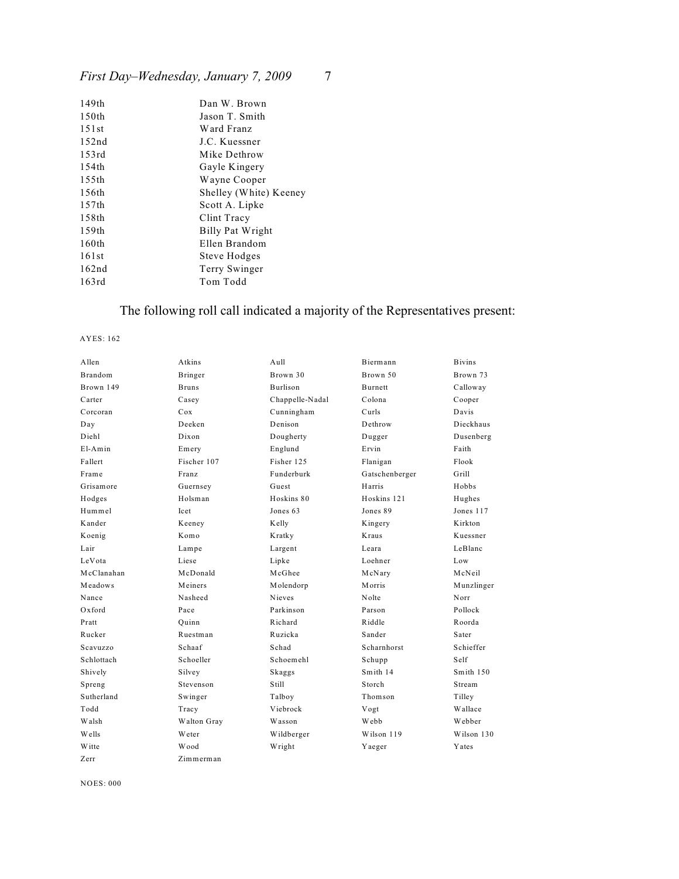# *First Day–Wednesday, January 7, 2009* 7

| 149 <sub>th</sub> | Dan W. Brown           |
|-------------------|------------------------|
| 150 <sub>th</sub> | Jason T. Smith         |
| 151st             | Ward Franz             |
| 152nd             | J.C. Kuessner          |
| 153rd             | Mike Dethrow           |
| 154th             | Gayle Kingery          |
| 155th             | Wayne Cooper           |
| 156th             | Shelley (White) Keeney |
| 157th             | Scott A. Lipke         |
| 158th             | Clint Tracy            |
| 159th             | Billy Pat Wright       |
| 160th             | Ellen Brandom          |
| 161st             | Steve Hodges           |
| 162nd             | Terry Swinger          |
| 163rd             | Tom Todd               |
|                   |                        |

# The following roll call indicated a majority of the Representatives present:

#### AYES: 162

| Allen          | Atkins       | $A$ ull         | Biermann       | <b>Bivins</b> |
|----------------|--------------|-----------------|----------------|---------------|
| <b>Brandom</b> | Bringer      | Brown 30        | Brown 50       | Brown 73      |
| Brown 149      | <b>Bruns</b> | Burlison        | Burnett        | Calloway      |
| Carter         | Casey        | Chappelle-Nadal | Colona         | Cooper        |
| Corcoran       | Cox          | Cunningham      | Curls          | Davis         |
| Day            | Deeken       | Denison         | Dethrow        | Dieckhaus     |
| Diehl          | Dixon        | Dougherty       | Dugger         | Dusenberg     |
| $E1-Amin$      | Emery        | Englund         | Ervin          | Faith         |
| Fallert        | Fischer 107  | Fisher 125      | Flanigan       | Flook         |
| Frame          | Franz        | Funderburk      | Gatschenberger | Grill         |
| Grisamore      | Guernsey     | Guest           | Harris         | Hobbs         |
| Hodges         | Holsman      | Hoskins 80      | Hoskins 121    | Hughes        |
| Hummel         | Icet         | Jones 63        | Jones 89       | Jones 117     |
| Kander         | Keeney       | Kelly           | Kingery        | Kirkton       |
| Koenig         | Komo         | Kratky          | Kraus          | Kuessner      |
| Lair           | Lampe        | Largent         | Leara          | LeBlanc       |
| LeVota         | Liese        | Lipke           | Loehner        | Low           |
| McClanahan     | McDonald     | McGhee          | McNary         | McNeil        |
| Meadows        | Meiners      | Molendorp       | Morris         | Munzlinger    |
| Nance          | Nasheed      | <b>Nieves</b>   | Nolte          | Norr          |
| $Ox$ ford      | Pace         | Parkinson       | Parson         | Pollock       |
| Pratt          | Ouinn        | Richard         | Riddle         | Roorda        |
| Rucker         | Ruestman     | Ruzicka         | Sander         | Sater         |
| Scavuzzo       | Schaaf       | Schad           | Scharnhorst    | Schieffer     |
| Schlottach     | Schoeller    | Schoemehl       | Schupp         | Self          |
| Shively        | Silvey       | Skaggs          | Smith 14       | Smith 150     |
| Spreng         | Stevenson    | Still           | Storch         | Stream        |
| Sutherland     | Swinger      | Talboy          | Thomson        | Tilley        |
| Todd           | Tracy        | Viebrock        | Vogt           | Wallace       |
| Walsh          | Walton Gray  | Wasson          | Webb           | Webber        |
| W ells         | Weter        | Wildberger      | Wilson 119     | Wilson 130    |
| W itte         | Wood         | Wright          | Yaeger         | Yates         |
| Zerr           | Zimmerman    |                 |                |               |

NOES: 000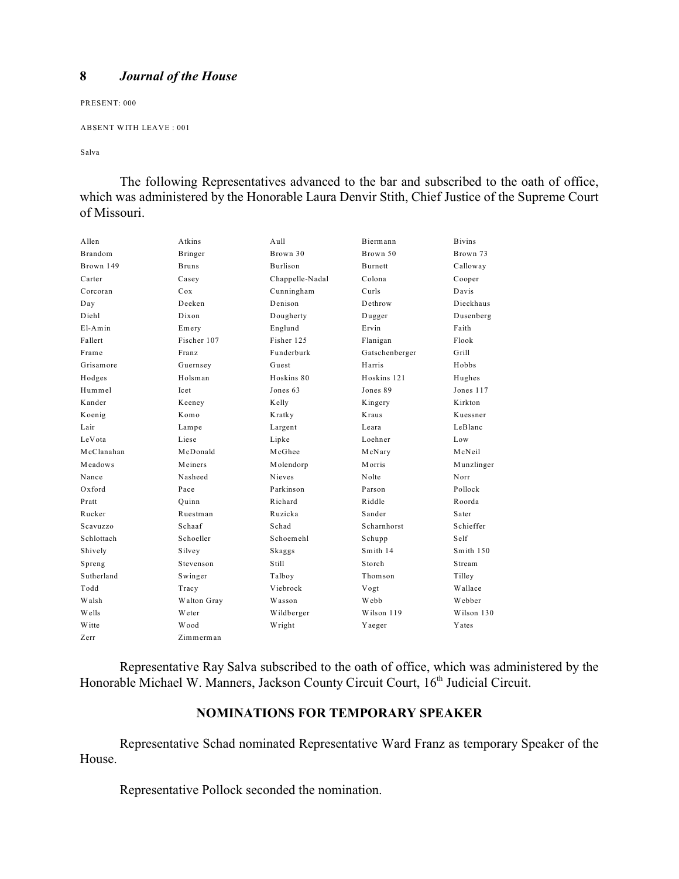PRESENT: 000

```
ABSENT WITH LEAVE : 001
```
Salva

The following Representatives advanced to the bar and subscribed to the oath of office, which was administered by the Honorable Laura Denvir Stith, Chief Justice of the Supreme Court of Missouri.

| Allen          | Atkins       | A <sub>11</sub> 11 | Biermann       | <b>Bivins</b> |
|----------------|--------------|--------------------|----------------|---------------|
| <b>Brandom</b> | Bringer      | Brown 30           | Brown 50       | Brown 73      |
| Brown 149      | <b>Bruns</b> | <b>Burlison</b>    | <b>Burnett</b> | Calloway      |
| Carter         | Casey        | Chappelle-Nadal    | Colona         | Cooper        |
| Corcoran       | Cox          | Cunningham         | Curls          | Davis         |
| Day            | Deeken       | Denison            | Dethrow        | Dieckhaus     |
| Diehl          | Dixon        | Dougherty          | Dugger         | Dusenberg     |
| $E1-Amin$      | Emery        | Englund            | Ervin          | Faith         |
| Fallert        | Fischer 107  | Fisher 125         | Flanigan       | Flook         |
| Frame          | Franz        | Funderburk         | Gatschenberger | Grill         |
| Grisamore      | Guernsey     | Guest              | Harris         | Hobbs         |
| Hodges         | Holsman      | Hoskins 80         | Hoskins 121    | Hughes        |
| Hummel         | <b>Icet</b>  | Jones 63           | Jones 89       | Jones 117     |
| Kander         | Keeney       | Kelly              | Kingery        | K irkton      |
| Koenig         | Komo         | Kratky             | Kraus          | Kuessner      |
| Lair           | Lampe        | Largent            | Leara          | LeBlanc       |
| LeVota         | Liese        | Lipke              | Loehner        | Low           |
| McClanahan     | McDonald     | McGhee             | McNary         | McNeil        |
| Meadows        | Meiners      | Molendorp          | Morris         | Munzlinger    |
| Nance          | Nasheed      | <b>Nieves</b>      | Nolte          | Norr          |
| $Ox$ ford      | Pace         | Parkinson          | Parson         | Pollock       |
| Pratt          | Ouinn        | Richard            | Riddle         | Roorda        |
| Rucker         | Ruestman     | Ruzicka            | Sander         | Sater         |
| Scavuzzo       | Schaaf       | Schad              | Scharnhorst    | Schieffer     |
| Schlottach     | Schoeller    | Schoemehl          | Schupp         | Self          |
| Shively        | Silvey       | Skaggs             | Smith 14       | Smith 150     |
| Spreng         | Stevenson    | Still              | Storch         | Stream        |
| Sutherland     | Swinger      | Talboy             | Thomson        | Tilley        |
| Todd           | Tracy        | Viebrock           | Vogt           | Wallace       |
| Walsh          | Walton Gray  | Wasson             | Webb           | Webber        |
| Wells          | Weter        | Wildberger         | Wilson 119     | Wilson 130    |
| W itte         | Wood         | Wright             | Yaeger         | Yates         |
| Zerr           | Zimmerman    |                    |                |               |

Representative Ray Salva subscribed to the oath of office, which was administered by the Honorable Michael W. Manners, Jackson County Circuit Court, 16th Judicial Circuit.

## **NOMINATIONS FOR TEMPORARY SPEAKER**

Representative Schad nominated Representative Ward Franz as temporary Speaker of the House.

Representative Pollock seconded the nomination.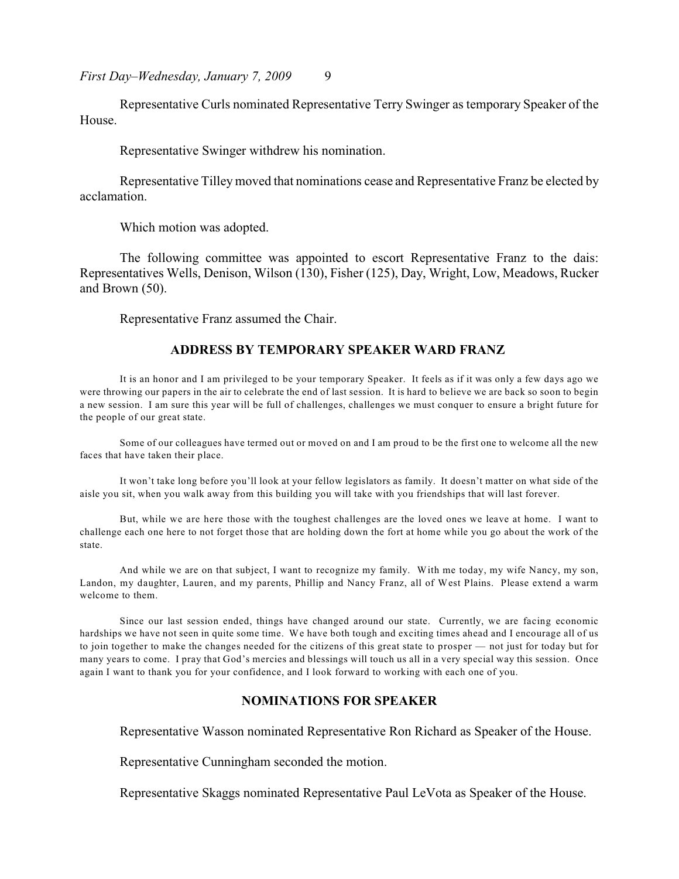*First Day–Wednesday, January 7, 2009* 9

Representative Curls nominated Representative Terry Swinger as temporary Speaker of the House.

Representative Swinger withdrew his nomination.

Representative Tilley moved that nominations cease and Representative Franz be elected by acclamation.

Which motion was adopted.

The following committee was appointed to escort Representative Franz to the dais: Representatives Wells, Denison, Wilson (130), Fisher (125), Day, Wright, Low, Meadows, Rucker and Brown (50).

Representative Franz assumed the Chair.

#### **ADDRESS BY TEMPORARY SPEAKER WARD FRANZ**

It is an honor and I am privileged to be your temporary Speaker. It feels as if it was only a few days ago we were throwing our papers in the air to celebrate the end of last session. It is hard to believe we are back so soon to begin a new session. I am sure this year will be full of challenges, challenges we must conquer to ensure a bright future for the people of our great state.

Some of our colleagues have termed out or moved on and I am proud to be the first one to welcome all the new faces that have taken their place.

It won't take long before you'll look at your fellow legislators as family. It doesn't matter on what side of the aisle you sit, when you walk away from this building you will take with you friendships that will last forever.

But, while we are here those with the toughest challenges are the loved ones we leave at home. I want to challenge each one here to not forget those that are holding down the fort at home while you go about the work of the state.

And while we are on that subject, I want to recognize my family. With me today, my wife Nancy, my son, Landon, my daughter, Lauren, and my parents, Phillip and Nancy Franz, all of West Plains. Please extend a warm welcome to them.

Since our last session ended, things have changed around our state. Currently, we are facing economic hardships we have not seen in quite some time. We have both tough and exciting times ahead and I encourage all of us to join together to make the changes needed for the citizens of this great state to prosper — not just for today but for many years to come. I pray that God's mercies and blessings will touch us all in a very special way this session. Once again I want to thank you for your confidence, and I look forward to working with each one of you.

## **NOMINATIONS FOR SPEAKER**

Representative Wasson nominated Representative Ron Richard as Speaker of the House.

Representative Cunningham seconded the motion.

Representative Skaggs nominated Representative Paul LeVota as Speaker of the House.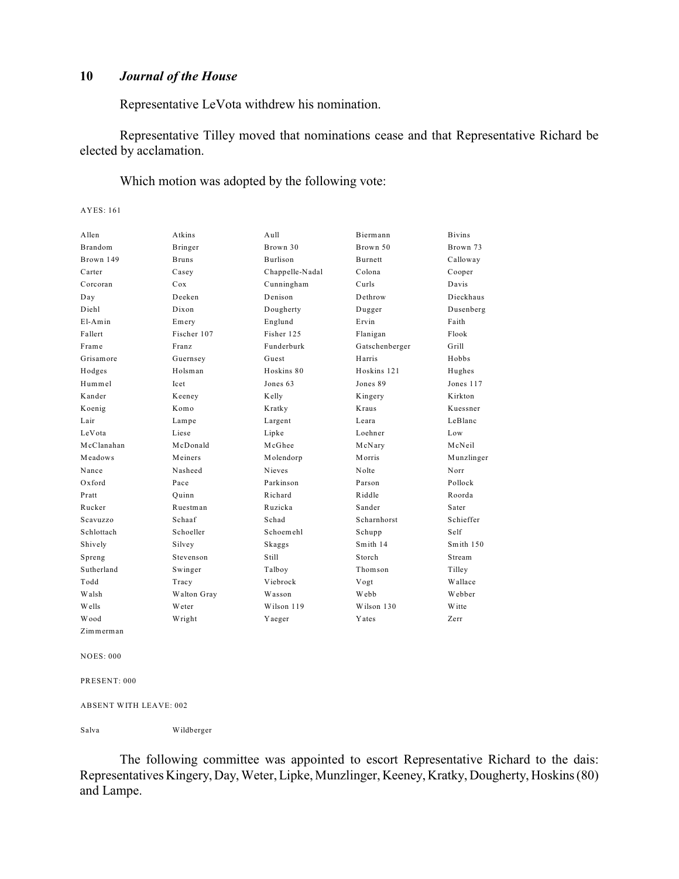Representative LeVota withdrew his nomination.

Representative Tilley moved that nominations cease and that Representative Richard be elected by acclamation.

Which motion was adopted by the following vote:

AYES: 161

| Allen          | Atkins       | A <sub>u</sub> 11 | Biermann       | <b>Bivins</b> |
|----------------|--------------|-------------------|----------------|---------------|
| <b>Brandom</b> | Bringer      | Brown 30          | Brown 50       | Brown 73      |
| Brown 149      | <b>Bruns</b> | <b>Burlison</b>   | <b>Burnett</b> | Calloway      |
| Carter         | Casey        | Chappelle-Nadal   | Colona         | Cooper        |
| Corcoran       | Cox          | Cunningham        | Curls          | Davis         |
| Day            | Deeken       | Denison           | Dethrow        | Dieckhaus     |
| Diehl          | Dixon        | Dougherty         | Dugger         | Dusenberg     |
| $E1-Amin$      | Emery        | Englund           | Ervin          | Faith         |
| Fallert        | Fischer 107  | Fisher 125        | Flanigan       | Flook         |
| Frame          | Franz        | Funderburk        | Gatschenberger | Grill         |
| Grisamore      | Guernsey     | Guest             | Harris         | Hobbs         |
| Hodges         | Holsman      | Hoskins 80        | Hoskins 121    | Hughes        |
| Hummel         | Icet         | Jones 63          | Jones 89       | Jones 117     |
| Kander         | Keeney       | Kelly             | Kingery        | Kirkton       |
| Koenig         | Komo         | Kratky            | <b>Kraus</b>   | Kuessner      |
| Lair           | Lampe        | Largent           | Leara          | LeBlanc       |
| LeVota         | Liese        | Lipke             | Loehner        | Low           |
| McClanahan     | McDonald     | McGhee            | McNary         | McNeil        |
| Meadows        | Meiners      | Molendorp         | Morris         | Munzlinger    |
| Nance          | Nasheed      | <b>Nieves</b>     | Nolte          | Norr          |
| Oxford         | Pace         | Parkinson         | Parson         | Pollock       |
| Pratt          | Ouinn        | Richard           | Riddle         | Roorda        |
| Rucker         | Ruestman     | Ruzicka           | Sander         | Sater         |
| Scavuzzo       | Schaaf       | Schad             | Scharnhorst    | Schieffer     |
| Schlottach     | Schoeller    | Schoemehl         | Schupp         | Self          |
| Shively        | Silvey       | Skaggs            | Smith 14       | Smith 150     |
| Spreng         | Stevenson    | Still             | Storch         | Stream        |
| Sutherland     | Swinger      | Talboy            | Thomson        | Tilley        |
| Todd           | Tracy        | Viebrock          | Vogt           | Wallace       |
| Walsh          | Walton Gray  | Wasson            | Webb           | Webber        |
| Wells          | Weter        | Wilson 119        | Wilson 130     | <b>Witte</b>  |
| Wood           | Wright       | Yaeger            | <b>Y</b> ates  | Zerr          |
| Zimmerman      |              |                   |                |               |

NOES: 000

PRESENT: 000

ABSENT WITH LEAVE: 002

Salva Wildberger

The following committee was appointed to escort Representative Richard to the dais: Representatives Kingery, Day, Weter, Lipke, Munzlinger, Keeney, Kratky, Dougherty, Hoskins (80) and Lampe.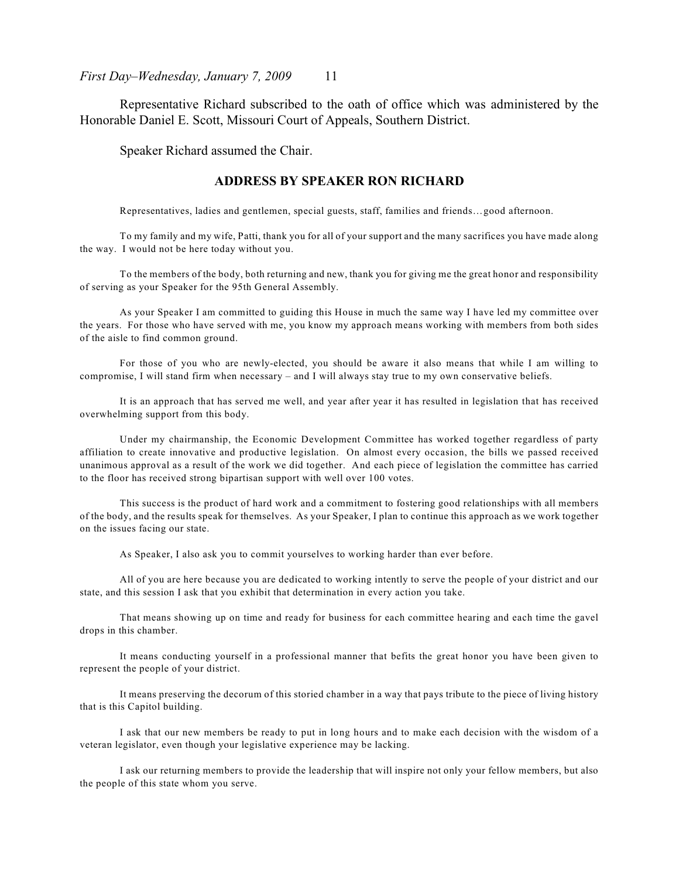Representative Richard subscribed to the oath of office which was administered by the Honorable Daniel E. Scott, Missouri Court of Appeals, Southern District.

Speaker Richard assumed the Chair.

### **ADDRESS BY SPEAKER RON RICHARD**

Representatives, ladies and gentlemen, special guests, staff, families and friends…good afternoon.

To my family and my wife, Patti, thank you for all of your support and the many sacrifices you have made along the way. I would not be here today without you.

To the members of the body, both returning and new, thank you for giving me the great honor and responsibility of serving as your Speaker for the 95th General Assembly.

As your Speaker I am committed to guiding this House in much the same way I have led my committee over the years. For those who have served with me, you know my approach means working with members from both sides of the aisle to find common ground.

For those of you who are newly-elected, you should be aware it also means that while I am willing to compromise, I will stand firm when necessary – and I will always stay true to my own conservative beliefs.

It is an approach that has served me well, and year after year it has resulted in legislation that has received overwhelming support from this body.

Under my chairmanship, the Economic Development Committee has worked together regardless of party affiliation to create innovative and productive legislation. On almost every occasion, the bills we passed received unanimous approval as a result of the work we did together. And each piece of legislation the committee has carried to the floor has received strong bipartisan support with well over 100 votes.

This success is the product of hard work and a commitment to fostering good relationships with all members of the body, and the results speak for themselves. As your Speaker, I plan to continue this approach as we work together on the issues facing our state.

As Speaker, I also ask you to commit yourselves to working harder than ever before.

All of you are here because you are dedicated to working intently to serve the people of your district and our state, and this session I ask that you exhibit that determination in every action you take.

That means showing up on time and ready for business for each committee hearing and each time the gavel drops in this chamber.

It means conducting yourself in a professional manner that befits the great honor you have been given to represent the people of your district.

It means preserving the decorum of this storied chamber in a way that pays tribute to the piece of living history that is this Capitol building.

I ask that our new members be ready to put in long hours and to make each decision with the wisdom of a veteran legislator, even though your legislative experience may be lacking.

I ask our returning members to provide the leadership that will inspire not only your fellow members, but also the people of this state whom you serve.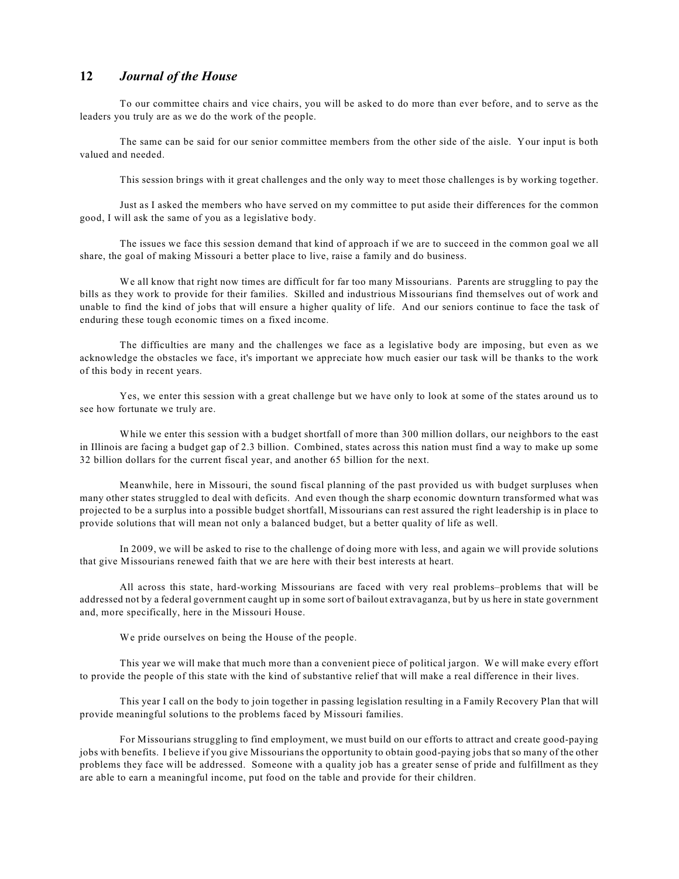To our committee chairs and vice chairs, you will be asked to do more than ever before, and to serve as the leaders you truly are as we do the work of the people.

The same can be said for our senior committee members from the other side of the aisle. Your input is both valued and needed.

This session brings with it great challenges and the only way to meet those challenges is by working together.

Just as I asked the members who have served on my committee to put aside their differences for the common good, I will ask the same of you as a legislative body.

The issues we face this session demand that kind of approach if we are to succeed in the common goal we all share, the goal of making Missouri a better place to live, raise a family and do business.

We all know that right now times are difficult for far too many Missourians. Parents are struggling to pay the bills as they work to provide for their families. Skilled and industrious Missourians find themselves out of work and unable to find the kind of jobs that will ensure a higher quality of life. And our seniors continue to face the task of enduring these tough economic times on a fixed income.

The difficulties are many and the challenges we face as a legislative body are imposing, but even as we acknowledge the obstacles we face, it's important we appreciate how much easier our task will be thanks to the work of this body in recent years.

Yes, we enter this session with a great challenge but we have only to look at some of the states around us to see how fortunate we truly are.

While we enter this session with a budget shortfall of more than 300 million dollars, our neighbors to the east in Illinois are facing a budget gap of 2.3 billion. Combined, states across this nation must find a way to make up some 32 billion dollars for the current fiscal year, and another 65 billion for the next.

Meanwhile, here in Missouri, the sound fiscal planning of the past provided us with budget surpluses when many other states struggled to deal with deficits. And even though the sharp economic downturn transformed what was projected to be a surplus into a possible budget shortfall, Missourians can rest assured the right leadership is in place to provide solutions that will mean not only a balanced budget, but a better quality of life as well.

In 2009, we will be asked to rise to the challenge of doing more with less, and again we will provide solutions that give Missourians renewed faith that we are here with their best interests at heart.

All across this state, hard-working Missourians are faced with very real problems–problems that will be addressed not by a federal government caught up in some sort of bailout extravaganza, but by us here in state government and, more specifically, here in the Missouri House.

We pride ourselves on being the House of the people.

This year we will make that much more than a convenient piece of political jargon. We will make every effort to provide the people of this state with the kind of substantive relief that will make a real difference in their lives.

This year I call on the body to join together in passing legislation resulting in a Family Recovery Plan that will provide meaningful solutions to the problems faced by Missouri families.

For Missourians struggling to find employment, we must build on our efforts to attract and create good-paying jobs with benefits. I believe if you give Missourians the opportunity to obtain good-paying jobs that so many of the other problems they face will be addressed. Someone with a quality job has a greater sense of pride and fulfillment as they are able to earn a meaningful income, put food on the table and provide for their children.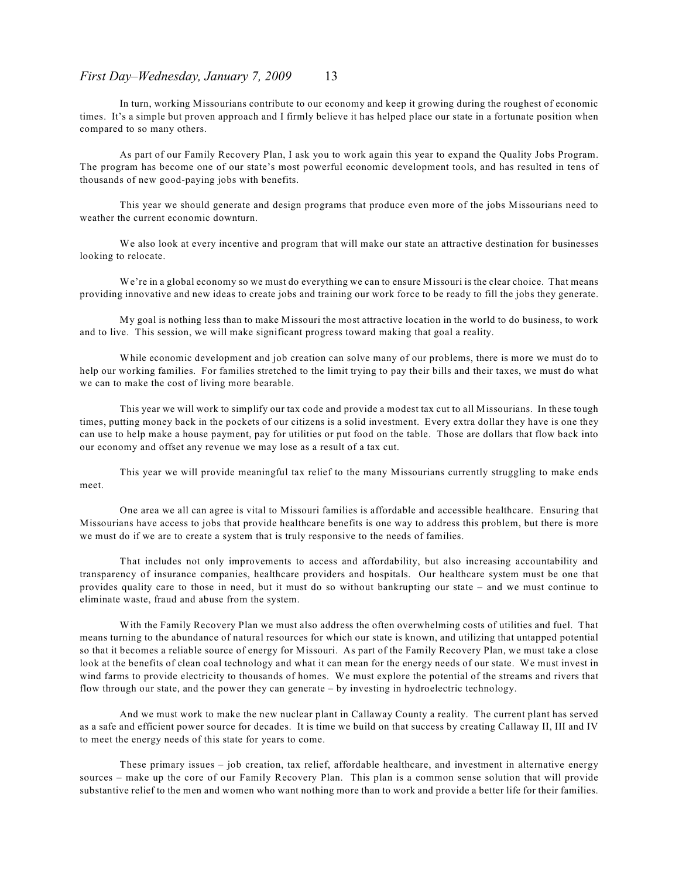#### *First Day–Wednesday, January 7, 2009* 13

In turn, working Missourians contribute to our economy and keep it growing during the roughest of economic times. It's a simple but proven approach and I firmly believe it has helped place our state in a fortunate position when compared to so many others.

As part of our Family Recovery Plan, I ask you to work again this year to expand the Quality Jobs Program. The program has become one of our state's most powerful economic development tools, and has resulted in tens of thousands of new good-paying jobs with benefits.

This year we should generate and design programs that produce even more of the jobs Missourians need to weather the current economic downturn.

We also look at every incentive and program that will make our state an attractive destination for businesses looking to relocate.

We're in a global economy so we must do everything we can to ensure Missouri is the clear choice. That means providing innovative and new ideas to create jobs and training our work force to be ready to fill the jobs they generate.

My goal is nothing less than to make Missouri the most attractive location in the world to do business, to work and to live. This session, we will make significant progress toward making that goal a reality.

While economic development and job creation can solve many of our problems, there is more we must do to help our working families. For families stretched to the limit trying to pay their bills and their taxes, we must do what we can to make the cost of living more bearable.

This year we will work to simplify our tax code and provide a modest tax cut to all Missourians. In these tough times, putting money back in the pockets of our citizens is a solid investment. Every extra dollar they have is one they can use to help make a house payment, pay for utilities or put food on the table. Those are dollars that flow back into our economy and offset any revenue we may lose as a result of a tax cut.

This year we will provide meaningful tax relief to the many Missourians currently struggling to make ends meet.

One area we all can agree is vital to Missouri families is affordable and accessible healthcare. Ensuring that Missourians have access to jobs that provide healthcare benefits is one way to address this problem, but there is more we must do if we are to create a system that is truly responsive to the needs of families.

That includes not only improvements to access and affordability, but also increasing accountability and transparency of insurance companies, healthcare providers and hospitals. Our healthcare system must be one that provides quality care to those in need, but it must do so without bankrupting our state – and we must continue to eliminate waste, fraud and abuse from the system.

With the Family Recovery Plan we must also address the often overwhelming costs of utilities and fuel. That means turning to the abundance of natural resources for which our state is known, and utilizing that untapped potential so that it becomes a reliable source of energy for Missouri. As part of the Family Recovery Plan, we must take a close look at the benefits of clean coal technology and what it can mean for the energy needs of our state. We must invest in wind farms to provide electricity to thousands of homes. We must explore the potential of the streams and rivers that flow through our state, and the power they can generate – by investing in hydroelectric technology.

And we must work to make the new nuclear plant in Callaway County a reality. The current plant has served as a safe and efficient power source for decades. It is time we build on that success by creating Callaway II, III and IV to meet the energy needs of this state for years to come.

These primary issues – job creation, tax relief, affordable healthcare, and investment in alternative energy sources – make up the core of our Family Recovery Plan. This plan is a common sense solution that will provide substantive relief to the men and women who want nothing more than to work and provide a better life for their families.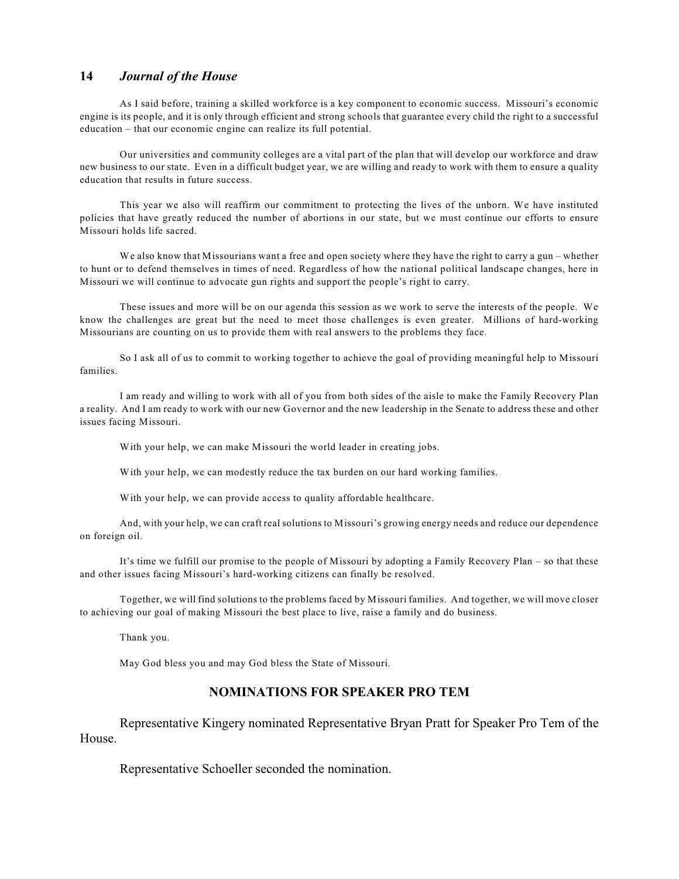As I said before, training a skilled workforce is a key component to economic success. Missouri's economic engine is its people, and it is only through efficient and strong schools that guarantee every child the right to a successful education – that our economic engine can realize its full potential.

Our universities and community colleges are a vital part of the plan that will develop our workforce and draw new business to our state. Even in a difficult budget year, we are willing and ready to work with them to ensure a quality education that results in future success.

This year we also will reaffirm our commitment to protecting the lives of the unborn. We have instituted policies that have greatly reduced the number of abortions in our state, but we must continue our efforts to ensure Missouri holds life sacred.

We also know that Missourians want a free and open society where they have the right to carry a gun – whether to hunt or to defend themselves in times of need. Regardless of how the national political landscape changes, here in Missouri we will continue to advocate gun rights and support the people's right to carry.

These issues and more will be on our agenda this session as we work to serve the interests of the people. We know the challenges are great but the need to meet those challenges is even greater. Millions of hard-working Missourians are counting on us to provide them with real answers to the problems they face.

So I ask all of us to commit to working together to achieve the goal of providing meaningful help to Missouri families.

I am ready and willing to work with all of you from both sides of the aisle to make the Family Recovery Plan a reality. And I am ready to work with our new Governor and the new leadership in the Senate to address these and other issues facing Missouri.

With your help, we can make Missouri the world leader in creating jobs.

With your help, we can modestly reduce the tax burden on our hard working families.

With your help, we can provide access to quality affordable healthcare.

And, with your help, we can craft real solutions to Missouri's growing energy needs and reduce our dependence on foreign oil.

It's time we fulfill our promise to the people of Missouri by adopting a Family Recovery Plan – so that these and other issues facing Missouri's hard-working citizens can finally be resolved.

Together, we will find solutions to the problems faced by Missouri families. And together, we will move closer to achieving our goal of making Missouri the best place to live, raise a family and do business.

Thank you.

May God bless you and may God bless the State of Missouri.

## **NOMINATIONS FOR SPEAKER PRO TEM**

Representative Kingery nominated Representative Bryan Pratt for Speaker Pro Tem of the House.

Representative Schoeller seconded the nomination.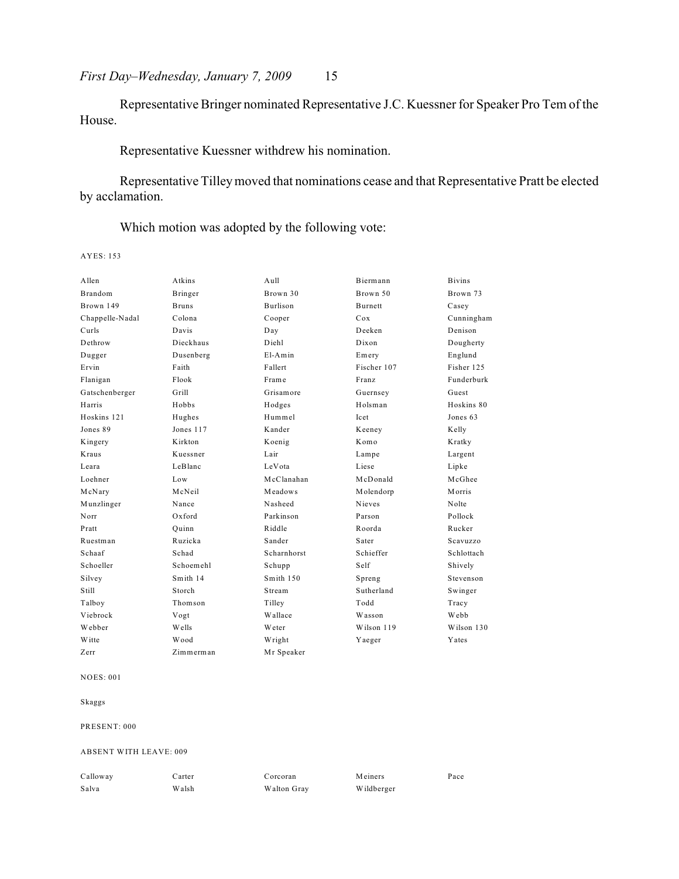Representative Bringer nominated Representative J.C. Kuessner for Speaker Pro Tem of the House.

## Representative Kuessner withdrew his nomination.

Representative Tilley moved that nominations cease and that Representative Pratt be elected by acclamation.

Which motion was adopted by the following vote:

AYES: 153

| Allen           | Atkins       | A <sub>u</sub> 11 | Biermann       | <b>Bivins</b> |
|-----------------|--------------|-------------------|----------------|---------------|
| <b>Brandom</b>  | Bringer      | Brown 30          | Brown 50       | Brown 73      |
| Brown 149       | <b>Bruns</b> | <b>Burlison</b>   | <b>Burnett</b> | Casey         |
| Chappelle-Nadal | Colona       | Cooper            | Cox            | Cunningham    |
| Curls           | Davis        | Day               | Deeken         | Denison       |
| Dethrow         | Dieckhaus    | Diehl             | Dixon          | Dougherty     |
| Dugger          | Dusenberg    | $E1-Amin$         | Emery          | Englund       |
| Ervin           | Faith        | Fallert           | Fischer 107    | Fisher 125    |
| Flanigan        | Flook        | Frame             | Franz          | Funderburk    |
| Gatschenberger  | Grill        | Grisamore         | Guernsey       | Guest         |
| Harris          | Hobbs        | Hodges            | Holsman        | Hoskins 80    |
| Hoskins 121     | Hughes       | Hummel            | Icet           | Jones 63      |
| Jones 89        | Jones 117    | Kander            | Keeney         | Kelly         |
| Kingery         | Kirkton      | Koenig            | Komo           | Kratky        |
| Kraus           | Kuessner     | Lair              | Lampe          | Largent       |
| Leara           | LeBlanc      | LeVota            | Liese          | Lipke         |
| Loehner         | Low          | McClanahan        | McDonald       | McGhee        |
| McNary          | McNeil       | Meadows           | Molendorp      | <b>Morris</b> |
| Munzlinger      | Nance        | Nasheed           | Nieves         | Nolte         |
| Norr            | Oxford       | Parkinson         | Parson         | Pollock       |
| Pratt           | Ouinn        | Riddle            | Roorda         | Rucker        |
| Ruestman        | Ruzicka      | Sander            | Sater          | Scavuzzo      |
| Schaaf          | Schad        | Scharnhorst       | Schieffer      | Schlottach    |
| Schoeller       | Schoemehl    | Schupp            | Self           | Shively       |
| Silvey          | Smith 14     | Smith 150         | Spreng         | Stevenson     |
| Still           | Storch       | Stream            | Sutherland     | Swinger       |
| Talboy          | Thomson      | Tilley            | Todd           | Tracy         |
| Viebrock        | Vogt         | Wallace           | Wasson         | Webb          |
| Webber          | Wells        | <b>W</b> eter     | Wilson 119     | Wilson 130    |
| W itte          | Wood         | Wright            | Yaeger         | Yates         |
| Zerr            | Zimmerman    | Mr Speaker        |                |               |

#### NOES: 001

Skaggs

PRESENT: 000

ABSENT WITH LEAVE: 009

| Calloway | Cart |
|----------|------|
| Salva    | W al |

ter Corcoran Meiners Pace  $W$ alton Gray Wildberger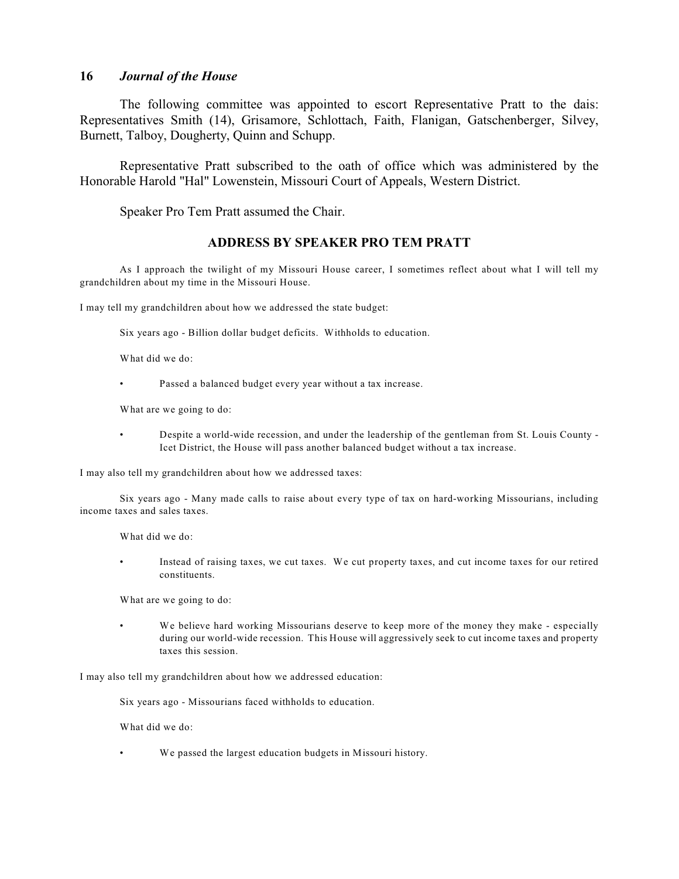The following committee was appointed to escort Representative Pratt to the dais: Representatives Smith (14), Grisamore, Schlottach, Faith, Flanigan, Gatschenberger, Silvey, Burnett, Talboy, Dougherty, Quinn and Schupp.

Representative Pratt subscribed to the oath of office which was administered by the Honorable Harold "Hal" Lowenstein, Missouri Court of Appeals, Western District.

Speaker Pro Tem Pratt assumed the Chair.

## **ADDRESS BY SPEAKER PRO TEM PRATT**

As I approach the twilight of my Missouri House career, I sometimes reflect about what I will tell my grandchildren about my time in the Missouri House.

I may tell my grandchildren about how we addressed the state budget:

Six years ago - Billion dollar budget deficits. Withholds to education.

What did we do:

• Passed a balanced budget every year without a tax increase.

What are we going to do:

• Despite a world-wide recession, and under the leadership of the gentleman from St. Louis County - Icet District, the House will pass another balanced budget without a tax increase.

I may also tell my grandchildren about how we addressed taxes:

Six years ago - Many made calls to raise about every type of tax on hard-working Missourians, including income taxes and sales taxes.

What did we do:

Instead of raising taxes, we cut taxes. We cut property taxes, and cut income taxes for our retired constituents.

What are we going to do:

We believe hard working Missourians deserve to keep more of the money they make - especially during our world-wide recession. This House will aggressively seek to cut income taxes and property taxes this session.

I may also tell my grandchildren about how we addressed education:

Six years ago - Missourians faced withholds to education.

What did we do:

We passed the largest education budgets in Missouri history.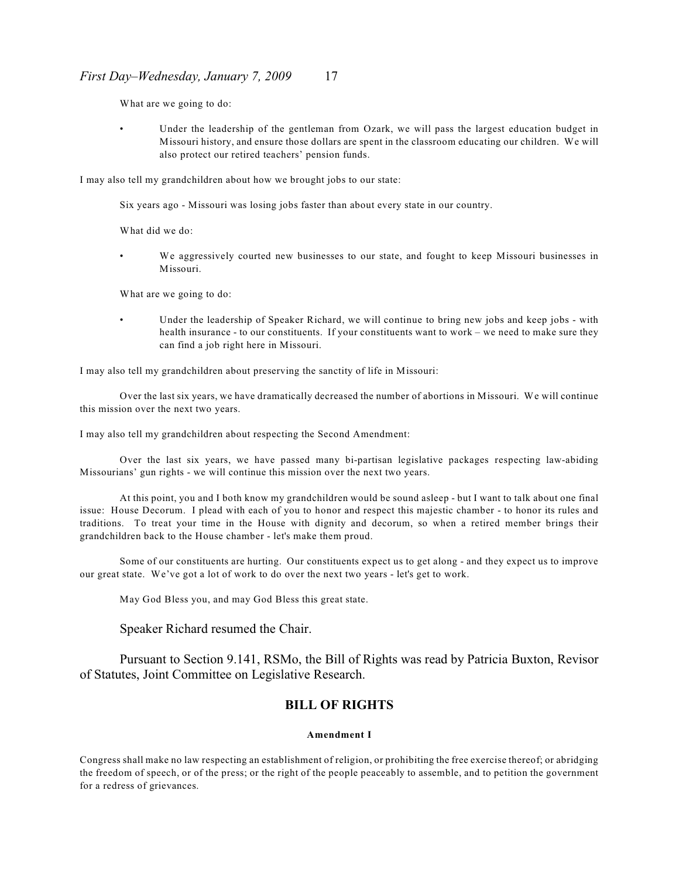#### *First Day–Wednesday, January 7, 2009* 17

What are we going to do:

Under the leadership of the gentleman from Ozark, we will pass the largest education budget in Missouri history, and ensure those dollars are spent in the classroom educating our children. We will also protect our retired teachers' pension funds.

I may also tell my grandchildren about how we brought jobs to our state:

Six years ago - Missouri was losing jobs faster than about every state in our country.

What did we do:

• We aggressively courted new businesses to our state, and fought to keep Missouri businesses in Missouri.

What are we going to do:

Under the leadership of Speaker Richard, we will continue to bring new jobs and keep jobs - with health insurance - to our constituents. If your constituents want to work – we need to make sure they can find a job right here in Missouri.

I may also tell my grandchildren about preserving the sanctity of life in Missouri:

Over the last six years, we have dramatically decreased the number of abortions in Missouri. We will continue this mission over the next two years.

I may also tell my grandchildren about respecting the Second Amendment:

Over the last six years, we have passed many bi-partisan legislative packages respecting law-abiding Missourians' gun rights - we will continue this mission over the next two years.

At this point, you and I both know my grandchildren would be sound asleep - but I want to talk about one final issue: House Decorum. I plead with each of you to honor and respect this majestic chamber - to honor its rules and traditions. To treat your time in the House with dignity and decorum, so when a retired member brings their grandchildren back to the House chamber - let's make them proud.

Some of our constituents are hurting. Our constituents expect us to get along - and they expect us to improve our great state. We've got a lot of work to do over the next two years - let's get to work.

May God Bless you, and may God Bless this great state.

Speaker Richard resumed the Chair.

Pursuant to Section 9.141, RSMo, the Bill of Rights was read by Patricia Buxton, Revisor of Statutes, Joint Committee on Legislative Research.

## **BILL OF RIGHTS**

#### **Amendment I**

Congress shall make no law respecting an establishment of religion, or prohibiting the free exercise thereof; or abridging the freedom of speech, or of the press; or the right of the people peaceably to assemble, and to petition the government for a redress of grievances.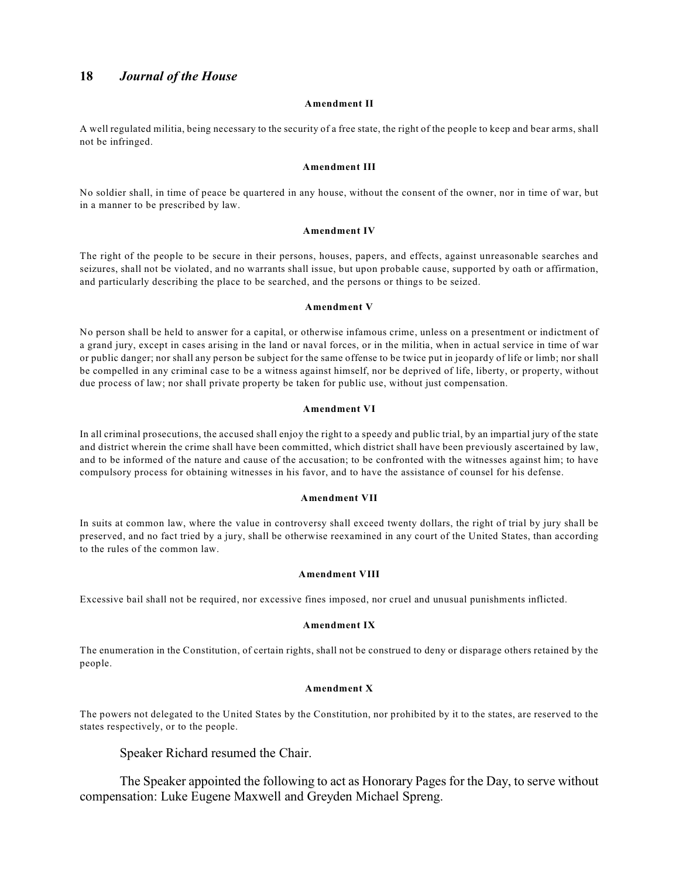#### **Amendment II**

A well regulated militia, being necessary to the security of a free state, the right of the people to keep and bear arms, shall not be infringed.

#### **Amendment III**

No soldier shall, in time of peace be quartered in any house, without the consent of the owner, nor in time of war, but in a manner to be prescribed by law.

#### **Amendment IV**

The right of the people to be secure in their persons, houses, papers, and effects, against unreasonable searches and seizures, shall not be violated, and no warrants shall issue, but upon probable cause, supported by oath or affirmation, and particularly describing the place to be searched, and the persons or things to be seized.

#### **Amendment V**

No person shall be held to answer for a capital, or otherwise infamous crime, unless on a presentment or indictment of a grand jury, except in cases arising in the land or naval forces, or in the militia, when in actual service in time of war or public danger; nor shall any person be subject for the same offense to be twice put in jeopardy of life or limb; nor shall be compelled in any criminal case to be a witness against himself, nor be deprived of life, liberty, or property, without due process of law; nor shall private property be taken for public use, without just compensation.

#### **Amendment VI**

In all criminal prosecutions, the accused shall enjoy the right to a speedy and public trial, by an impartial jury of the state and district wherein the crime shall have been committed, which district shall have been previously ascertained by law, and to be informed of the nature and cause of the accusation; to be confronted with the witnesses against him; to have compulsory process for obtaining witnesses in his favor, and to have the assistance of counsel for his defense.

#### **Amendment VII**

In suits at common law, where the value in controversy shall exceed twenty dollars, the right of trial by jury shall be preserved, and no fact tried by a jury, shall be otherwise reexamined in any court of the United States, than according to the rules of the common law.

#### **Amendment VIII**

Excessive bail shall not be required, nor excessive fines imposed, nor cruel and unusual punishments inflicted.

#### **Amendment IX**

The enumeration in the Constitution, of certain rights, shall not be construed to deny or disparage others retained by the people.

#### **Amendment X**

The powers not delegated to the United States by the Constitution, nor prohibited by it to the states, are reserved to the states respectively, or to the people.

Speaker Richard resumed the Chair.

The Speaker appointed the following to act as Honorary Pages for the Day, to serve without compensation: Luke Eugene Maxwell and Greyden Michael Spreng.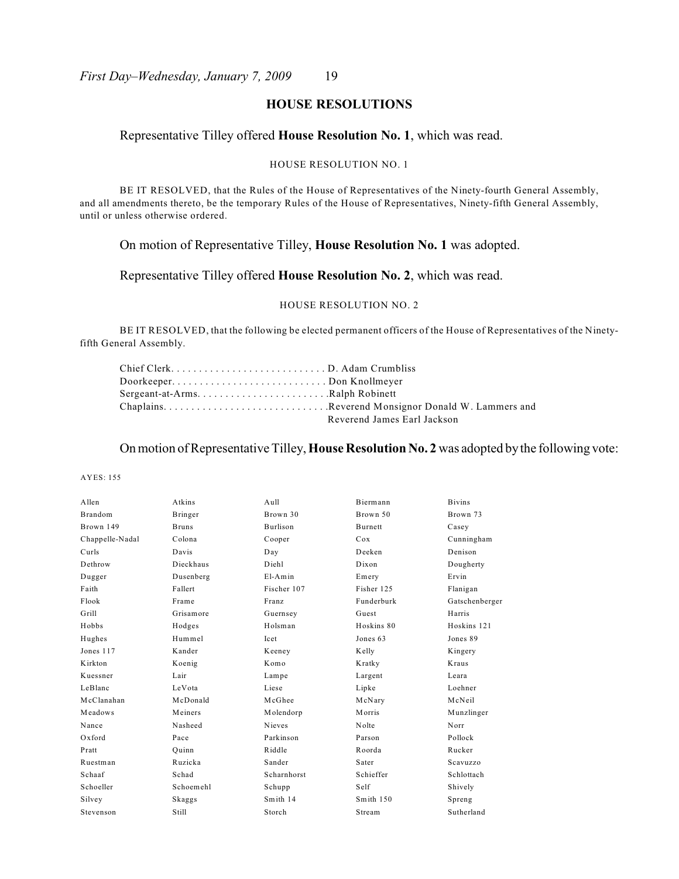## **HOUSE RESOLUTIONS**

## Representative Tilley offered **House Resolution No. 1**, which was read.

#### HOUSE RESOLUTION NO. 1

BE IT RESOLVED, that the Rules of the House of Representatives of the Ninety-fourth General Assembly, and all amendments thereto, be the temporary Rules of the House of Representatives, Ninety-fifth General Assembly, until or unless otherwise ordered.

## On motion of Representative Tilley, **House Resolution No. 1** was adopted.

## Representative Tilley offered **House Resolution No. 2**, which was read.

#### HOUSE RESOLUTION NO. 2

BE IT RESOLVED, that the following be elected permanent officers of the House of Representatives of the Ninetyfifth General Assembly.

| Chief ClerkD. Adam Crumbliss |                             |
|------------------------------|-----------------------------|
| DoorkeeperDon Knollmeyer     |                             |
|                              |                             |
|                              |                             |
|                              | Reverend James Earl Jackson |

### On motion of Representative Tilley, **House Resolution No. 2** was adopted by the following vote:

AYES: 155

| Allen           | Atkins       | Aull        | Biermann   | <b>Bivins</b>  |
|-----------------|--------------|-------------|------------|----------------|
| <b>Brandom</b>  | Bringer      | Brown 30    | Brown 50   | Brown 73       |
| Brown 149       | <b>Bruns</b> | Burlison    | Burnett    | Casey          |
| Chappelle-Nadal | Colona       | Cooper      | Cox        | Cunningham     |
| Curls           | Davis        | Day         | Deeken     | Denison        |
| Dethrow         | Dieckhaus    | Diehl       | Dixon      | Dougherty      |
| Dugger          | Dusenberg    | $E1-Amin$   | Emery      | Ervin          |
| Faith           | Fallert      | Fischer 107 | Fisher 125 | Flanigan       |
| Flook           | Frame        | Franz       | Funderburk | Gatschenberger |
| Grill           | Grisamore    | Guernsey    | Guest      | Harris         |
| Hobbs           | Hodges       | Holsman     | Hoskins 80 | Hoskins 121    |
| Hughes          | Hummel       | Icet        | Jones 63   | Jones 89       |
| Jones 117       | Kander       | Keeney      | Kelly      | Kingery        |
| Kirkton         | Koenig       | Komo        | Kratky     | Kraus          |
| Kuessner        | Lair         | Lampe       | Largent    | Leara          |
| LeBlanc         | LeVota       | Liese       | Lipke      | Loehner        |
| McClanahan      | McDonald     | McGhee      | McNary     | McNeil         |
| Meadows         | Meiners      | Molendorp   | Morris     | Munzlinger     |
| Nance           | Nasheed      | Nieves      | Nolte      | Norr           |
| Oxford          | Pace         | Parkinson   | Parson     | Pollock        |
| Pratt           | Ouinn        | Riddle      | Roorda     | Rucker         |
| Ruestman        | Ruzicka      | Sander      | Sater      | Scavuzzo       |
| Schaaf          | Schad        | Scharnhorst | Schieffer  | Schlottach     |
| Schoeller       | Schoemehl    | Schupp      | Self       | Shively        |
| Silvey          | Skaggs       | Smith 14    | Smith 150  | Spreng         |
| Stevenson       | Still        | Storch      | Stream     | Sutherland     |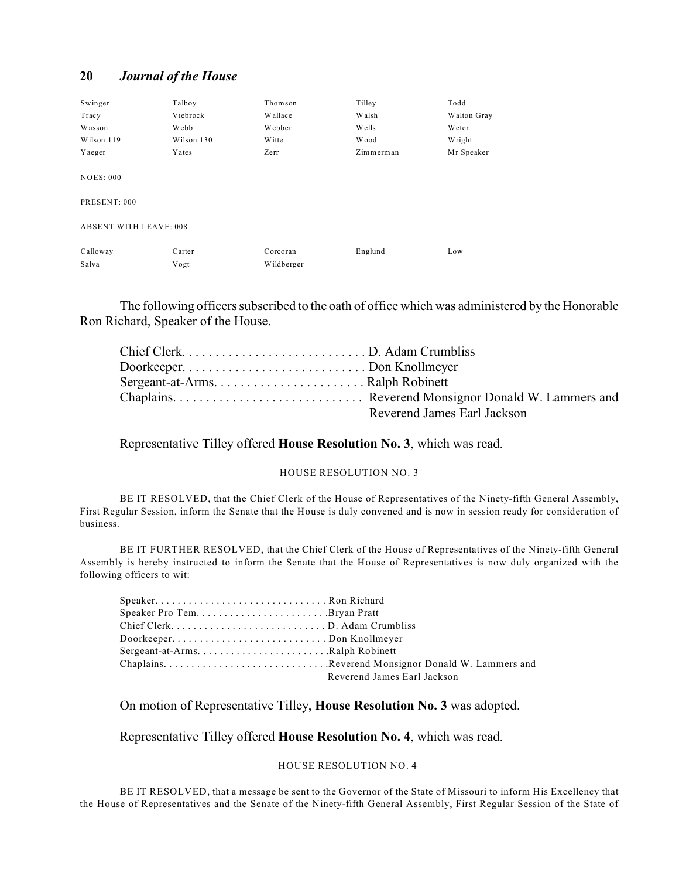| Swinger                       | Talboy     | Thomson    | Tilley       | Todd        |
|-------------------------------|------------|------------|--------------|-------------|
| Tracy                         | Viebrock   | Wallace    | Walsh        | Walton Gray |
| Wasson                        | Webb       | Webber     | <b>Wells</b> | Weter       |
| Wilson 119                    | Wilson 130 | W itte     | <b>Wood</b>  | Wright      |
| Yaeger                        | Yates      | Zerr       | Zimmerman    | Mr Speaker  |
| <b>NOES: 000</b>              |            |            |              |             |
| PRESENT: 000                  |            |            |              |             |
| <b>ABSENT WITH LEAVE: 008</b> |            |            |              |             |
| Calloway                      | Carter     | Corcoran   | Englund      | Low         |
| Salva                         | Vogt       | Wildberger |              |             |

The following officers subscribed to the oath of office which was administered by the Honorable Ron Richard, Speaker of the House.

| Reverend James Earl Jackson |
|-----------------------------|

Representative Tilley offered **House Resolution No. 3**, which was read.

#### HOUSE RESOLUTION NO. 3

BE IT RESOLVED, that the Chief Clerk of the House of Representatives of the Ninety-fifth General Assembly, First Regular Session, inform the Senate that the House is duly convened and is now in session ready for consideration of business.

BE IT FURTHER RESOLVED, that the Chief Clerk of the House of Representatives of the Ninety-fifth General Assembly is hereby instructed to inform the Senate that the House of Representatives is now duly organized with the following officers to wit:

| Chief ClerkD. Adam Crumbliss   |                             |
|--------------------------------|-----------------------------|
| DoorkeeperDon Knollmeyer       |                             |
| Sergeant-at-ArmsRalph Robinett |                             |
|                                |                             |
|                                | Reverend James Earl Jackson |

On motion of Representative Tilley, **House Resolution No. 3** was adopted.

Representative Tilley offered **House Resolution No. 4**, which was read.

#### HOUSE RESOLUTION NO. 4

BE IT RESOLVED, that a message be sent to the Governor of the State of Missouri to inform His Excellency that the House of Representatives and the Senate of the Ninety-fifth General Assembly, First Regular Session of the State of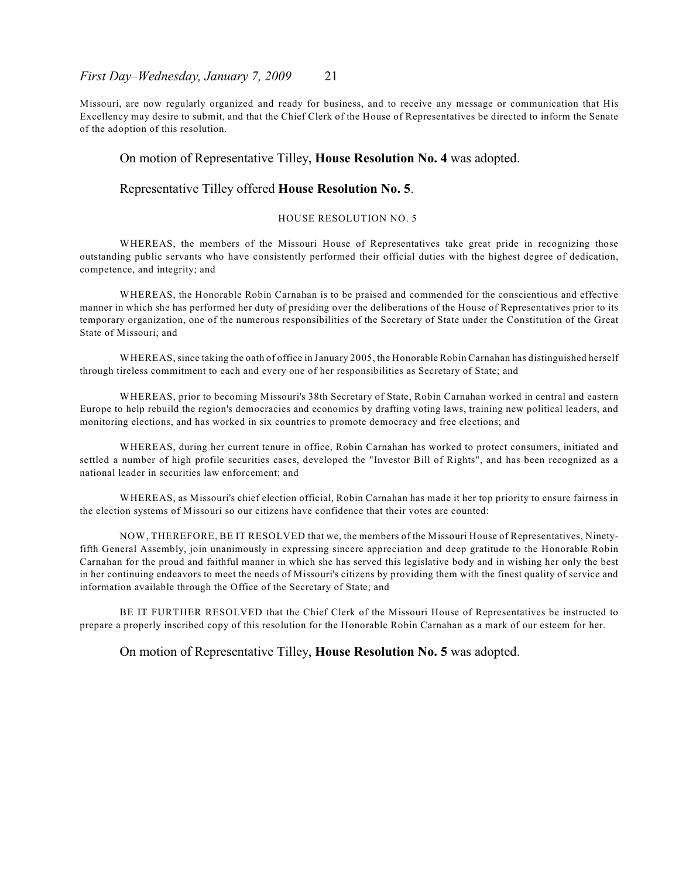Missouri, are now regularly organized and ready for business, and to receive any message or communication that His Excellency may desire to submit, and that the Chief Clerk of the House of Representatives be directed to inform the Senate of the adoption of this resolution.

#### On motion of Representative Tilley, **House Resolution No. 4** was adopted.

#### Representative Tilley offered **House Resolution No. 5**.

#### HOUSE RESOLUTION NO. 5

WHEREAS, the members of the Missouri House of Representatives take great pride in recognizing those outstanding public servants who have consistently performed their official duties with the highest degree of dedication, competence, and integrity; and

WHEREAS, the Honorable Robin Carnahan is to be praised and commended for the conscientious and effective manner in which she has performed her duty of presiding over the deliberations of the House of Representatives prior to its temporary organization, one of the numerous responsibilities of the Secretary of State under the Constitution of the Great State of Missouri; and

WHEREAS, since taking the oath of office in January 2005, the Honorable Robin Carnahan has distinguished herself through tireless commitment to each and every one of her responsibilities as Secretary of State; and

WHEREAS, prior to becoming Missouri's 38th Secretary of State, Robin Carnahan worked in central and eastern Europe to help rebuild the region's democracies and economics by drafting voting laws, training new political leaders, and monitoring elections, and has worked in six countries to promote democracy and free elections; and

WHEREAS, during her current tenure in office, Robin Carnahan has worked to protect consumers, initiated and settled a number of high profile securities cases, developed the "Investor Bill of Rights", and has been recognized as a national leader in securities law enforcement; and

WHEREAS, as Missouri's chief election official, Robin Carnahan has made it her top priority to ensure fairness in the election systems of Missouri so our citizens have confidence that their votes are counted:

NOW, THEREFORE, BE IT RESOLVED that we, the members of the Missouri House of Representatives, Ninetyfifth General Assembly, join unanimously in expressing sincere appreciation and deep gratitude to the Honorable Robin Carnahan for the proud and faithful manner in which she has served this legislative body and in wishing her only the best in her continuing endeavors to meet the needs of Missouri's citizens by providing them with the finest quality of service and information available through the Office of the Secretary of State; and

BE IT FURTHER RESOLVED that the Chief Clerk of the Missouri House of Representatives be instructed to prepare a properly inscribed copy of this resolution for the Honorable Robin Carnahan as a mark of our esteem for her.

On motion of Representative Tilley, **House Resolution No. 5** was adopted.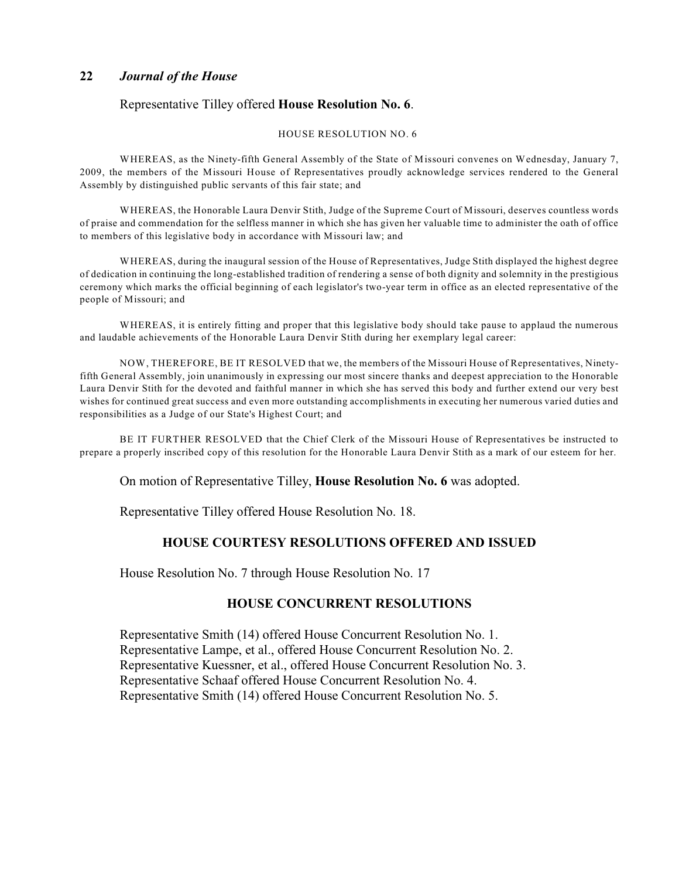## Representative Tilley offered **House Resolution No. 6**.

#### HOUSE RESOLUTION NO. 6

WHEREAS, as the Ninety-fifth General Assembly of the State of Missouri convenes on Wednesday, January 7, 2009, the members of the Missouri House of Representatives proudly acknowledge services rendered to the General Assembly by distinguished public servants of this fair state; and

WHEREAS, the Honorable Laura Denvir Stith, Judge of the Supreme Court of Missouri, deserves countless words of praise and commendation for the selfless manner in which she has given her valuable time to administer the oath of office to members of this legislative body in accordance with Missouri law; and

WHEREAS, during the inaugural session of the House of Representatives, Judge Stith displayed the highest degree of dedication in continuing the long-established tradition of rendering a sense of both dignity and solemnity in the prestigious ceremony which marks the official beginning of each legislator's two-year term in office as an elected representative of the people of Missouri; and

WHEREAS, it is entirely fitting and proper that this legislative body should take pause to applaud the numerous and laudable achievements of the Honorable Laura Denvir Stith during her exemplary legal career:

NOW, THEREFORE, BE IT RESOLVED that we, the members of the Missouri House of Representatives, Ninetyfifth General Assembly, join unanimously in expressing our most sincere thanks and deepest appreciation to the Honorable Laura Denvir Stith for the devoted and faithful manner in which she has served this body and further extend our very best wishes for continued great success and even more outstanding accomplishments in executing her numerous varied duties and responsibilities as a Judge of our State's Highest Court; and

BE IT FURTHER RESOLVED that the Chief Clerk of the Missouri House of Representatives be instructed to prepare a properly inscribed copy of this resolution for the Honorable Laura Denvir Stith as a mark of our esteem for her.

On motion of Representative Tilley, **House Resolution No. 6** was adopted.

Representative Tilley offered House Resolution No. 18.

## **HOUSE COURTESY RESOLUTIONS OFFERED AND ISSUED**

House Resolution No. 7 through House Resolution No. 17

## **HOUSE CONCURRENT RESOLUTIONS**

Representative Smith (14) offered House Concurrent Resolution No. 1. Representative Lampe, et al., offered House Concurrent Resolution No. 2. Representative Kuessner, et al., offered House Concurrent Resolution No. 3. Representative Schaaf offered House Concurrent Resolution No. 4. Representative Smith (14) offered House Concurrent Resolution No. 5.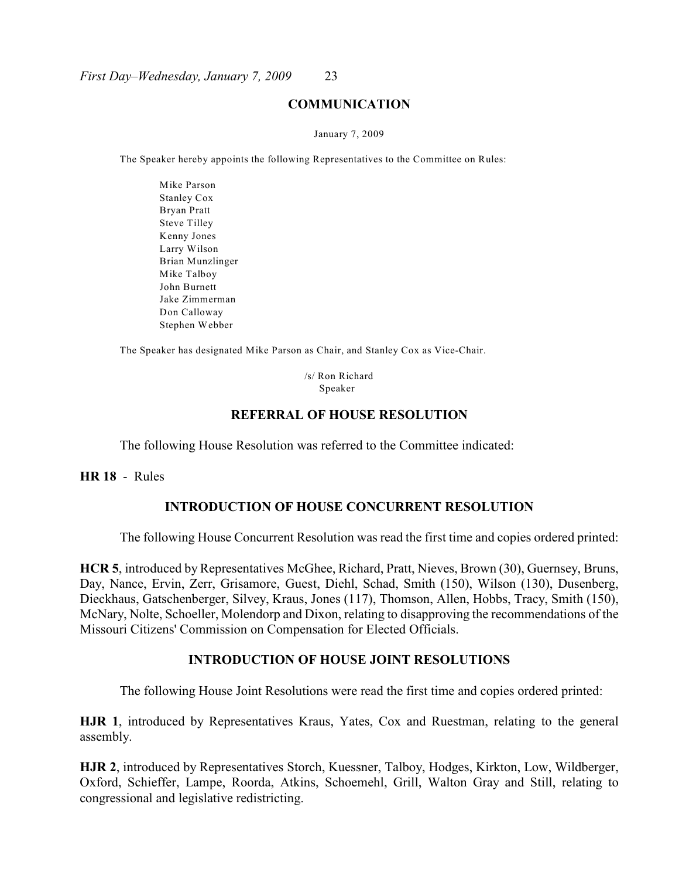#### **COMMUNICATION**

#### January 7, 2009

The Speaker hereby appoints the following Representatives to the Committee on Rules:

Mike Parson Stanley Cox Bryan Pratt Steve Tilley Kenny Jones Larry Wilson Brian Munzlinger Mike Talboy John Burnett Jake Zimmerman Don Calloway Stephen Webber

The Speaker has designated Mike Parson as Chair, and Stanley Cox as Vice-Chair.

 /s/ Ron Richard Speaker

## **REFERRAL OF HOUSE RESOLUTION**

The following House Resolution was referred to the Committee indicated:

**HR 18** - Rules

## **INTRODUCTION OF HOUSE CONCURRENT RESOLUTION**

The following House Concurrent Resolution was read the first time and copies ordered printed:

**HCR 5**, introduced by Representatives McGhee, Richard, Pratt, Nieves, Brown (30), Guernsey, Bruns, Day, Nance, Ervin, Zerr, Grisamore, Guest, Diehl, Schad, Smith (150), Wilson (130), Dusenberg, Dieckhaus, Gatschenberger, Silvey, Kraus, Jones (117), Thomson, Allen, Hobbs, Tracy, Smith (150), McNary, Nolte, Schoeller, Molendorp and Dixon, relating to disapproving the recommendations of the Missouri Citizens' Commission on Compensation for Elected Officials.

## **INTRODUCTION OF HOUSE JOINT RESOLUTIONS**

The following House Joint Resolutions were read the first time and copies ordered printed:

**HJR 1**, introduced by Representatives Kraus, Yates, Cox and Ruestman, relating to the general assembly.

**HJR 2**, introduced by Representatives Storch, Kuessner, Talboy, Hodges, Kirkton, Low, Wildberger, Oxford, Schieffer, Lampe, Roorda, Atkins, Schoemehl, Grill, Walton Gray and Still, relating to congressional and legislative redistricting.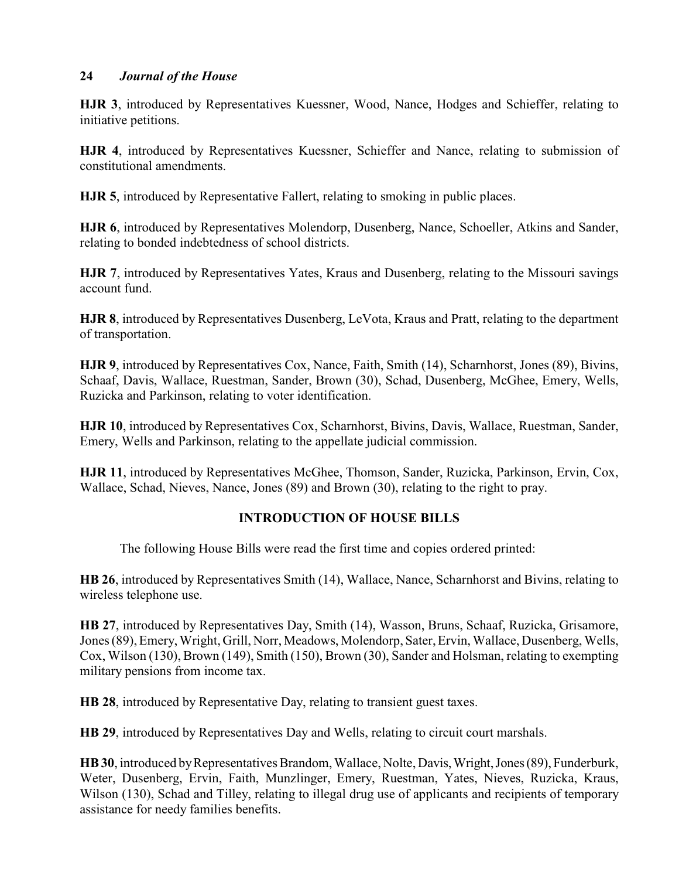**HJR 3**, introduced by Representatives Kuessner, Wood, Nance, Hodges and Schieffer, relating to initiative petitions.

**HJR 4**, introduced by Representatives Kuessner, Schieffer and Nance, relating to submission of constitutional amendments.

**HJR 5**, introduced by Representative Fallert, relating to smoking in public places.

**HJR 6**, introduced by Representatives Molendorp, Dusenberg, Nance, Schoeller, Atkins and Sander, relating to bonded indebtedness of school districts.

**HJR 7**, introduced by Representatives Yates, Kraus and Dusenberg, relating to the Missouri savings account fund.

**HJR 8**, introduced by Representatives Dusenberg, LeVota, Kraus and Pratt, relating to the department of transportation.

**HJR 9**, introduced by Representatives Cox, Nance, Faith, Smith (14), Scharnhorst, Jones (89), Bivins, Schaaf, Davis, Wallace, Ruestman, Sander, Brown (30), Schad, Dusenberg, McGhee, Emery, Wells, Ruzicka and Parkinson, relating to voter identification.

**HJR 10**, introduced by Representatives Cox, Scharnhorst, Bivins, Davis, Wallace, Ruestman, Sander, Emery, Wells and Parkinson, relating to the appellate judicial commission.

**HJR 11**, introduced by Representatives McGhee, Thomson, Sander, Ruzicka, Parkinson, Ervin, Cox, Wallace, Schad, Nieves, Nance, Jones (89) and Brown (30), relating to the right to pray.

## **INTRODUCTION OF HOUSE BILLS**

The following House Bills were read the first time and copies ordered printed:

**HB 26**, introduced by Representatives Smith (14), Wallace, Nance, Scharnhorst and Bivins, relating to wireless telephone use.

**HB 27**, introduced by Representatives Day, Smith (14), Wasson, Bruns, Schaaf, Ruzicka, Grisamore, Jones (89),Emery, Wright, Grill, Norr, Meadows, Molendorp, Sater, Ervin, Wallace, Dusenberg, Wells, Cox, Wilson (130), Brown (149), Smith (150), Brown (30), Sander and Holsman, relating to exempting military pensions from income tax.

**HB 28**, introduced by Representative Day, relating to transient guest taxes.

**HB 29**, introduced by Representatives Day and Wells, relating to circuit court marshals.

**HB 30**, introduced by Representatives Brandom, Wallace, Nolte, Davis, Wright, Jones (89), Funderburk, Weter, Dusenberg, Ervin, Faith, Munzlinger, Emery, Ruestman, Yates, Nieves, Ruzicka, Kraus, Wilson (130), Schad and Tilley, relating to illegal drug use of applicants and recipients of temporary assistance for needy families benefits.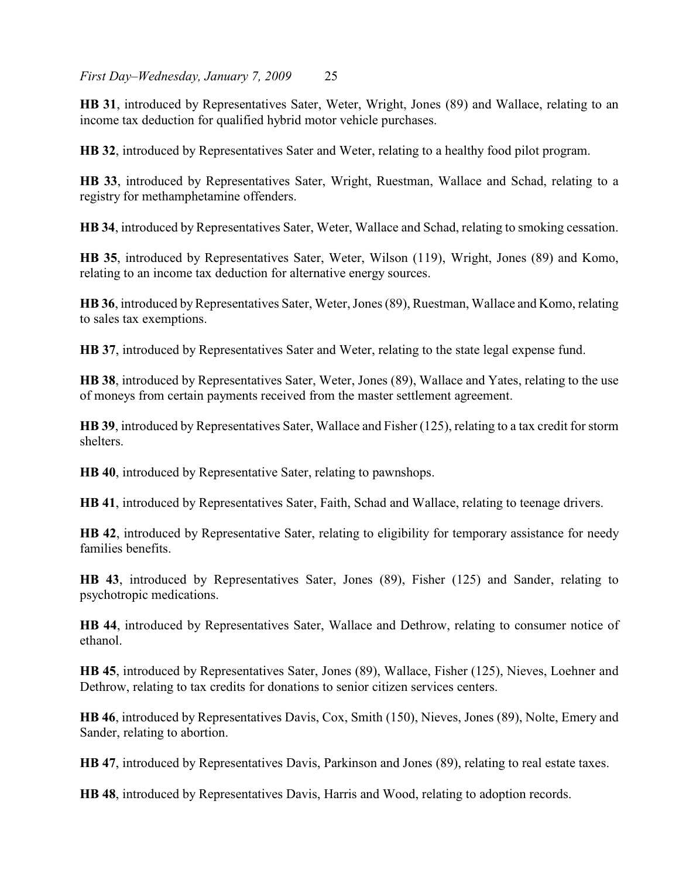**HB 31**, introduced by Representatives Sater, Weter, Wright, Jones (89) and Wallace, relating to an income tax deduction for qualified hybrid motor vehicle purchases.

**HB 32**, introduced by Representatives Sater and Weter, relating to a healthy food pilot program.

**HB 33**, introduced by Representatives Sater, Wright, Ruestman, Wallace and Schad, relating to a registry for methamphetamine offenders.

**HB 34**, introduced by Representatives Sater, Weter, Wallace and Schad, relating to smoking cessation.

**HB 35**, introduced by Representatives Sater, Weter, Wilson (119), Wright, Jones (89) and Komo, relating to an income tax deduction for alternative energy sources.

**HB 36**, introduced by Representatives Sater, Weter, Jones (89), Ruestman, Wallace and Komo, relating to sales tax exemptions.

**HB 37**, introduced by Representatives Sater and Weter, relating to the state legal expense fund.

**HB 38**, introduced by Representatives Sater, Weter, Jones (89), Wallace and Yates, relating to the use of moneys from certain payments received from the master settlement agreement.

**HB 39**, introduced by Representatives Sater, Wallace and Fisher (125), relating to a tax credit for storm shelters.

**HB 40**, introduced by Representative Sater, relating to pawnshops.

**HB 41**, introduced by Representatives Sater, Faith, Schad and Wallace, relating to teenage drivers.

**HB 42**, introduced by Representative Sater, relating to eligibility for temporary assistance for needy families benefits.

**HB 43**, introduced by Representatives Sater, Jones (89), Fisher (125) and Sander, relating to psychotropic medications.

**HB 44**, introduced by Representatives Sater, Wallace and Dethrow, relating to consumer notice of ethanol.

**HB 45**, introduced by Representatives Sater, Jones (89), Wallace, Fisher (125), Nieves, Loehner and Dethrow, relating to tax credits for donations to senior citizen services centers.

**HB 46**, introduced by Representatives Davis, Cox, Smith (150), Nieves, Jones (89), Nolte, Emery and Sander, relating to abortion.

**HB 47**, introduced by Representatives Davis, Parkinson and Jones (89), relating to real estate taxes.

**HB 48**, introduced by Representatives Davis, Harris and Wood, relating to adoption records.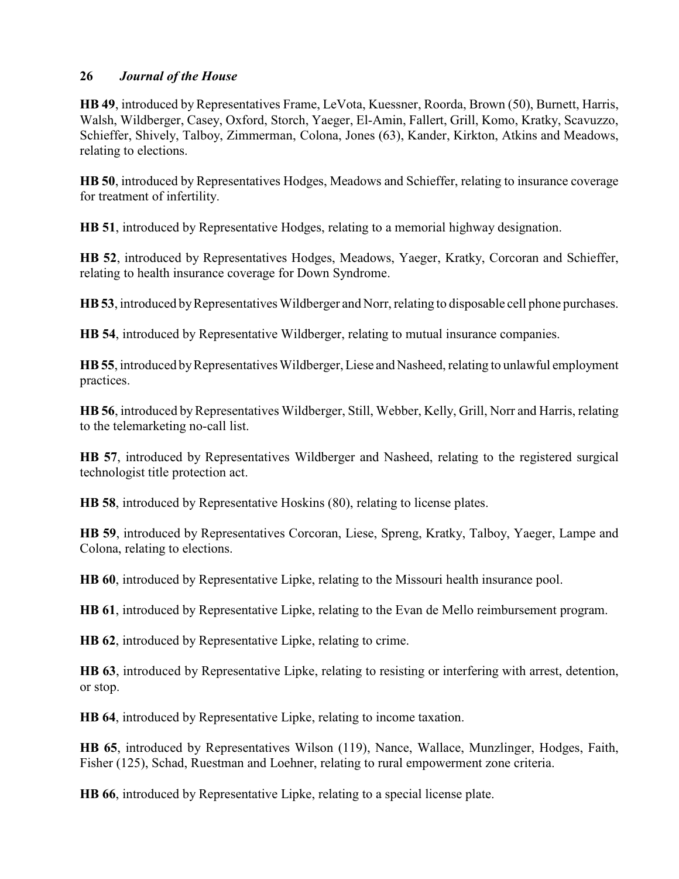HB 49, introduced by Representatives Frame, LeVota, Kuessner, Roorda, Brown (50), Burnett, Harris, Walsh, Wildberger, Casey, Oxford, Storch, Yaeger, El-Amin, Fallert, Grill, Komo, Kratky, Scavuzzo, Schieffer, Shively, Talboy, Zimmerman, Colona, Jones (63), Kander, Kirkton, Atkins and Meadows, relating to elections.

**HB 50**, introduced by Representatives Hodges, Meadows and Schieffer, relating to insurance coverage for treatment of infertility.

**HB 51**, introduced by Representative Hodges, relating to a memorial highway designation.

**HB 52**, introduced by Representatives Hodges, Meadows, Yaeger, Kratky, Corcoran and Schieffer, relating to health insurance coverage for Down Syndrome.

**HB 53**, introduced byRepresentatives Wildberger and Norr, relating to disposable cell phone purchases.

**HB 54**, introduced by Representative Wildberger, relating to mutual insurance companies.

**HB 55**, introduced byRepresentatives Wildberger, Liese and Nasheed, relating to unlawful employment practices.

**HB 56**, introduced by Representatives Wildberger, Still, Webber, Kelly, Grill, Norr and Harris, relating to the telemarketing no-call list.

**HB 57**, introduced by Representatives Wildberger and Nasheed, relating to the registered surgical technologist title protection act.

**HB 58**, introduced by Representative Hoskins (80), relating to license plates.

**HB 59**, introduced by Representatives Corcoran, Liese, Spreng, Kratky, Talboy, Yaeger, Lampe and Colona, relating to elections.

**HB 60**, introduced by Representative Lipke, relating to the Missouri health insurance pool.

**HB 61**, introduced by Representative Lipke, relating to the Evan de Mello reimbursement program.

**HB 62**, introduced by Representative Lipke, relating to crime.

**HB 63**, introduced by Representative Lipke, relating to resisting or interfering with arrest, detention, or stop.

**HB 64**, introduced by Representative Lipke, relating to income taxation.

**HB 65**, introduced by Representatives Wilson (119), Nance, Wallace, Munzlinger, Hodges, Faith, Fisher (125), Schad, Ruestman and Loehner, relating to rural empowerment zone criteria.

**HB 66**, introduced by Representative Lipke, relating to a special license plate.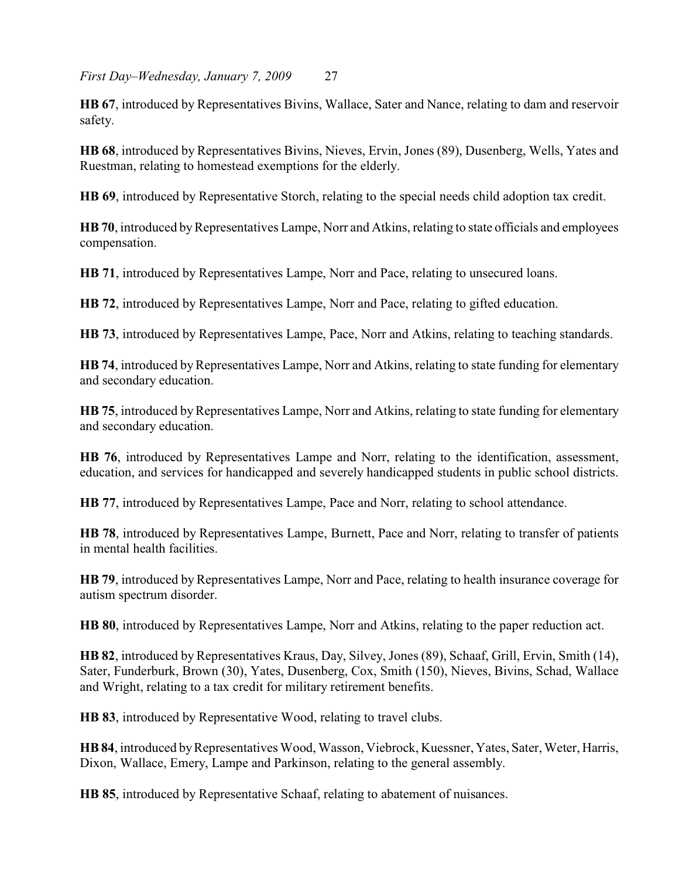*First Day–Wednesday, January 7, 2009* 27

**HB 67**, introduced by Representatives Bivins, Wallace, Sater and Nance, relating to dam and reservoir safety.

**HB 68**, introduced by Representatives Bivins, Nieves, Ervin, Jones (89), Dusenberg, Wells, Yates and Ruestman, relating to homestead exemptions for the elderly.

**HB 69**, introduced by Representative Storch, relating to the special needs child adoption tax credit.

**HB 70**, introduced by Representatives Lampe, Norr and Atkins, relating to state officials and employees compensation.

**HB 71**, introduced by Representatives Lampe, Norr and Pace, relating to unsecured loans.

**HB 72**, introduced by Representatives Lampe, Norr and Pace, relating to gifted education.

**HB 73**, introduced by Representatives Lampe, Pace, Norr and Atkins, relating to teaching standards.

**HB 74**, introduced by Representatives Lampe, Norr and Atkins, relating to state funding for elementary and secondary education.

**HB 75**, introduced by Representatives Lampe, Norr and Atkins, relating to state funding for elementary and secondary education.

**HB 76**, introduced by Representatives Lampe and Norr, relating to the identification, assessment, education, and services for handicapped and severely handicapped students in public school districts.

**HB 77**, introduced by Representatives Lampe, Pace and Norr, relating to school attendance.

**HB 78**, introduced by Representatives Lampe, Burnett, Pace and Norr, relating to transfer of patients in mental health facilities.

**HB 79**, introduced by Representatives Lampe, Norr and Pace, relating to health insurance coverage for autism spectrum disorder.

**HB 80**, introduced by Representatives Lampe, Norr and Atkins, relating to the paper reduction act.

**HB 82**, introduced by Representatives Kraus, Day, Silvey, Jones (89), Schaaf, Grill, Ervin, Smith (14), Sater, Funderburk, Brown (30), Yates, Dusenberg, Cox, Smith (150), Nieves, Bivins, Schad, Wallace and Wright, relating to a tax credit for military retirement benefits.

**HB 83**, introduced by Representative Wood, relating to travel clubs.

**HB 84**, introduced by Representatives Wood, Wasson, Viebrock, Kuessner, Yates, Sater, Weter, Harris, Dixon, Wallace, Emery, Lampe and Parkinson, relating to the general assembly.

**HB 85**, introduced by Representative Schaaf, relating to abatement of nuisances.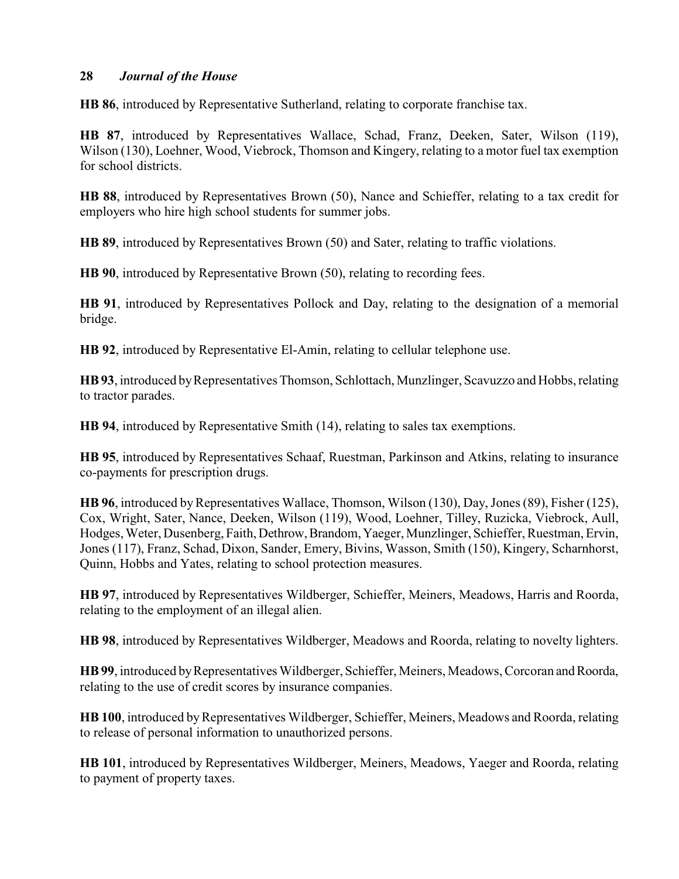**HB 86**, introduced by Representative Sutherland, relating to corporate franchise tax.

**HB 87**, introduced by Representatives Wallace, Schad, Franz, Deeken, Sater, Wilson (119), Wilson (130), Loehner, Wood, Viebrock, Thomson and Kingery, relating to a motor fuel tax exemption for school districts.

**HB 88**, introduced by Representatives Brown (50), Nance and Schieffer, relating to a tax credit for employers who hire high school students for summer jobs.

**HB 89**, introduced by Representatives Brown (50) and Sater, relating to traffic violations.

**HB 90**, introduced by Representative Brown (50), relating to recording fees.

**HB 91**, introduced by Representatives Pollock and Day, relating to the designation of a memorial bridge.

**HB 92**, introduced by Representative El-Amin, relating to cellular telephone use.

**HB 93**, introduced by Representatives Thomson, Schlottach, Munzlinger, Scavuzzo and Hobbs, relating to tractor parades.

**HB 94**, introduced by Representative Smith (14), relating to sales tax exemptions.

**HB 95**, introduced by Representatives Schaaf, Ruestman, Parkinson and Atkins, relating to insurance co-payments for prescription drugs.

**HB 96**, introduced by Representatives Wallace, Thomson, Wilson (130), Day, Jones (89), Fisher (125), Cox, Wright, Sater, Nance, Deeken, Wilson (119), Wood, Loehner, Tilley, Ruzicka, Viebrock, Aull, Hodges, Weter, Dusenberg, Faith, Dethrow, Brandom, Yaeger, Munzlinger, Schieffer, Ruestman, Ervin, Jones (117), Franz, Schad, Dixon, Sander, Emery, Bivins, Wasson, Smith (150), Kingery, Scharnhorst, Quinn, Hobbs and Yates, relating to school protection measures.

**HB 97**, introduced by Representatives Wildberger, Schieffer, Meiners, Meadows, Harris and Roorda, relating to the employment of an illegal alien.

**HB 98**, introduced by Representatives Wildberger, Meadows and Roorda, relating to novelty lighters.

**HB 99**, introduced by Representatives Wildberger, Schieffer, Meiners, Meadows, Corcoran and Roorda, relating to the use of credit scores by insurance companies.

**HB 100**, introduced by Representatives Wildberger, Schieffer, Meiners, Meadows and Roorda, relating to release of personal information to unauthorized persons.

**HB 101**, introduced by Representatives Wildberger, Meiners, Meadows, Yaeger and Roorda, relating to payment of property taxes.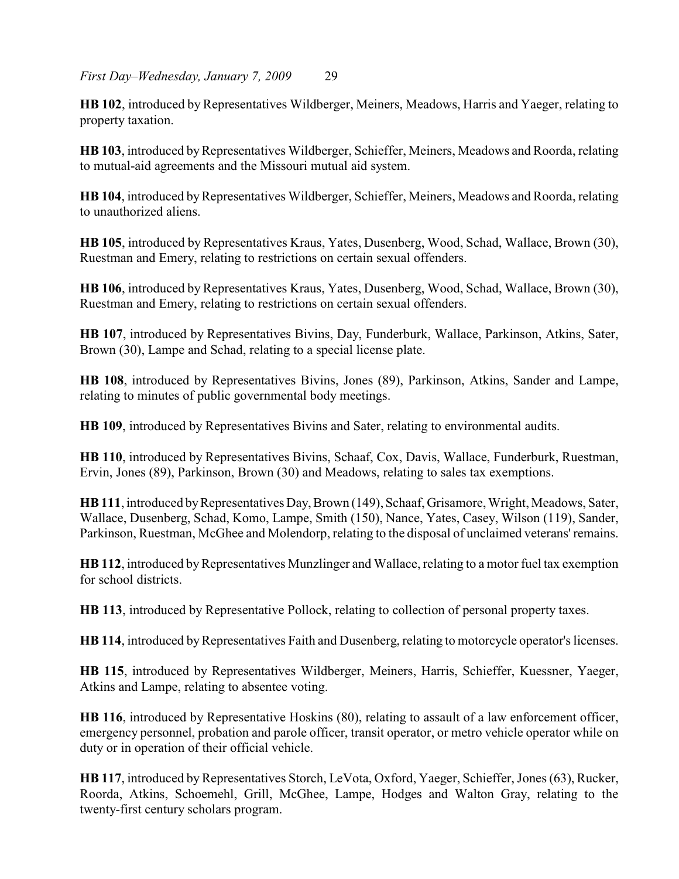**HB 102**, introduced byRepresentatives Wildberger, Meiners, Meadows, Harris and Yaeger, relating to property taxation.

**HB 103**, introduced by Representatives Wildberger, Schieffer, Meiners, Meadows and Roorda, relating to mutual-aid agreements and the Missouri mutual aid system.

**HB 104**, introduced by Representatives Wildberger, Schieffer, Meiners, Meadows and Roorda, relating to unauthorized aliens.

**HB 105**, introduced by Representatives Kraus, Yates, Dusenberg, Wood, Schad, Wallace, Brown (30), Ruestman and Emery, relating to restrictions on certain sexual offenders.

**HB 106**, introduced by Representatives Kraus, Yates, Dusenberg, Wood, Schad, Wallace, Brown (30), Ruestman and Emery, relating to restrictions on certain sexual offenders.

**HB 107**, introduced by Representatives Bivins, Day, Funderburk, Wallace, Parkinson, Atkins, Sater, Brown (30), Lampe and Schad, relating to a special license plate.

**HB 108**, introduced by Representatives Bivins, Jones (89), Parkinson, Atkins, Sander and Lampe, relating to minutes of public governmental body meetings.

**HB 109**, introduced by Representatives Bivins and Sater, relating to environmental audits.

**HB 110**, introduced by Representatives Bivins, Schaaf, Cox, Davis, Wallace, Funderburk, Ruestman, Ervin, Jones (89), Parkinson, Brown (30) and Meadows, relating to sales tax exemptions.

**HB 111**, introduced byRepresentatives Day, Brown (149), Schaaf, Grisamore, Wright, Meadows, Sater, Wallace, Dusenberg, Schad, Komo, Lampe, Smith (150), Nance, Yates, Casey, Wilson (119), Sander, Parkinson, Ruestman, McGhee and Molendorp, relating to the disposal of unclaimed veterans' remains.

**HB 112**, introduced by Representatives Munzlinger and Wallace, relating to a motor fuel tax exemption for school districts.

**HB 113**, introduced by Representative Pollock, relating to collection of personal property taxes.

**HB 114**, introduced by Representatives Faith and Dusenberg, relating to motorcycle operator's licenses.

**HB 115**, introduced by Representatives Wildberger, Meiners, Harris, Schieffer, Kuessner, Yaeger, Atkins and Lampe, relating to absentee voting.

**HB 116**, introduced by Representative Hoskins (80), relating to assault of a law enforcement officer, emergency personnel, probation and parole officer, transit operator, or metro vehicle operator while on duty or in operation of their official vehicle.

**HB 117**, introduced by Representatives Storch, LeVota, Oxford, Yaeger, Schieffer, Jones (63), Rucker, Roorda, Atkins, Schoemehl, Grill, McGhee, Lampe, Hodges and Walton Gray, relating to the twenty-first century scholars program.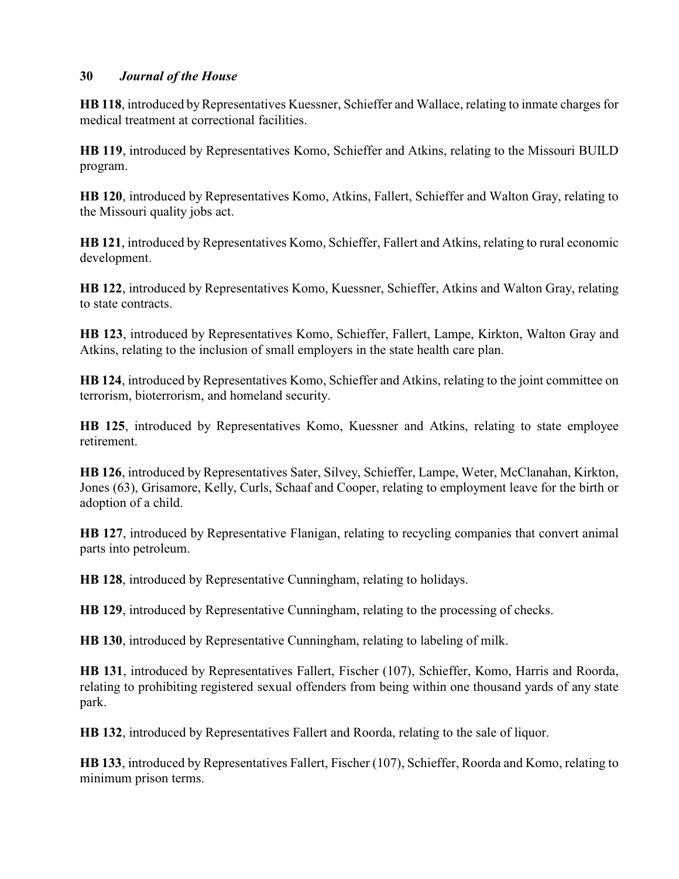**HB 118**, introduced by Representatives Kuessner, Schieffer and Wallace, relating to inmate charges for medical treatment at correctional facilities.

**HB 119**, introduced by Representatives Komo, Schieffer and Atkins, relating to the Missouri BUILD program.

**HB 120**, introduced by Representatives Komo, Atkins, Fallert, Schieffer and Walton Gray, relating to the Missouri quality jobs act.

**HB 121**, introduced by Representatives Komo, Schieffer, Fallert and Atkins, relating to rural economic development.

**HB 122**, introduced by Representatives Komo, Kuessner, Schieffer, Atkins and Walton Gray, relating to state contracts.

**HB 123**, introduced by Representatives Komo, Schieffer, Fallert, Lampe, Kirkton, Walton Gray and Atkins, relating to the inclusion of small employers in the state health care plan.

**HB 124**, introduced by Representatives Komo, Schieffer and Atkins, relating to the joint committee on terrorism, bioterrorism, and homeland security.

**HB 125**, introduced by Representatives Komo, Kuessner and Atkins, relating to state employee retirement.

**HB 126**, introduced by Representatives Sater, Silvey, Schieffer, Lampe, Weter, McClanahan, Kirkton, Jones (63), Grisamore, Kelly, Curls, Schaaf and Cooper, relating to employment leave for the birth or adoption of a child.

**HB 127**, introduced by Representative Flanigan, relating to recycling companies that convert animal parts into petroleum.

**HB 128**, introduced by Representative Cunningham, relating to holidays.

**HB 129**, introduced by Representative Cunningham, relating to the processing of checks.

**HB 130**, introduced by Representative Cunningham, relating to labeling of milk.

**HB 131**, introduced by Representatives Fallert, Fischer (107), Schieffer, Komo, Harris and Roorda, relating to prohibiting registered sexual offenders from being within one thousand yards of any state park.

**HB 132**, introduced by Representatives Fallert and Roorda, relating to the sale of liquor.

**HB 133**, introduced by Representatives Fallert, Fischer (107), Schieffer, Roorda and Komo, relating to minimum prison terms.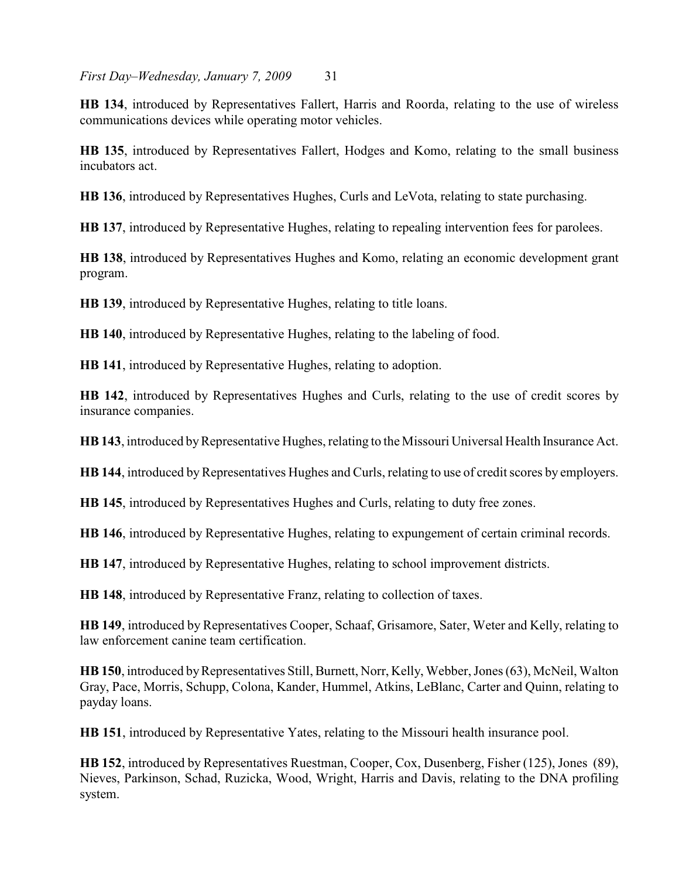**HB 134**, introduced by Representatives Fallert, Harris and Roorda, relating to the use of wireless communications devices while operating motor vehicles.

**HB 135**, introduced by Representatives Fallert, Hodges and Komo, relating to the small business incubators act.

**HB 136**, introduced by Representatives Hughes, Curls and LeVota, relating to state purchasing.

**HB 137**, introduced by Representative Hughes, relating to repealing intervention fees for parolees.

**HB 138**, introduced by Representatives Hughes and Komo, relating an economic development grant program.

**HB 139**, introduced by Representative Hughes, relating to title loans.

**HB 140**, introduced by Representative Hughes, relating to the labeling of food.

**HB 141**, introduced by Representative Hughes, relating to adoption.

**HB 142**, introduced by Representatives Hughes and Curls, relating to the use of credit scores by insurance companies.

**HB 143**, introduced by Representative Hughes, relating to the Missouri Universal Health Insurance Act.

**HB 144**, introduced by Representatives Hughes and Curls, relating to use of credit scores by employers.

**HB 145**, introduced by Representatives Hughes and Curls, relating to duty free zones.

**HB 146**, introduced by Representative Hughes, relating to expungement of certain criminal records.

**HB 147**, introduced by Representative Hughes, relating to school improvement districts.

**HB 148**, introduced by Representative Franz, relating to collection of taxes.

**HB 149**, introduced by Representatives Cooper, Schaaf, Grisamore, Sater, Weter and Kelly, relating to law enforcement canine team certification.

**HB 150**, introduced by Representatives Still, Burnett, Norr, Kelly, Webber, Jones (63), McNeil, Walton Gray, Pace, Morris, Schupp, Colona, Kander, Hummel, Atkins, LeBlanc, Carter and Quinn, relating to payday loans.

**HB 151**, introduced by Representative Yates, relating to the Missouri health insurance pool.

**HB 152**, introduced by Representatives Ruestman, Cooper, Cox, Dusenberg, Fisher (125), Jones (89), Nieves, Parkinson, Schad, Ruzicka, Wood, Wright, Harris and Davis, relating to the DNA profiling system.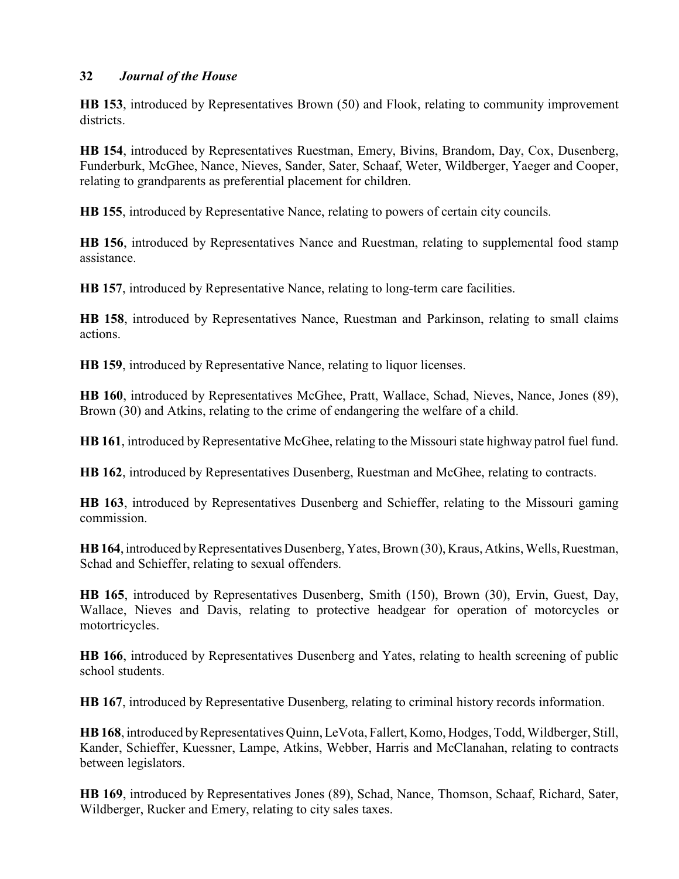**HB 153**, introduced by Representatives Brown (50) and Flook, relating to community improvement districts.

**HB 154**, introduced by Representatives Ruestman, Emery, Bivins, Brandom, Day, Cox, Dusenberg, Funderburk, McGhee, Nance, Nieves, Sander, Sater, Schaaf, Weter, Wildberger, Yaeger and Cooper, relating to grandparents as preferential placement for children.

**HB 155**, introduced by Representative Nance, relating to powers of certain city councils.

**HB 156**, introduced by Representatives Nance and Ruestman, relating to supplemental food stamp assistance.

**HB 157**, introduced by Representative Nance, relating to long-term care facilities.

**HB 158**, introduced by Representatives Nance, Ruestman and Parkinson, relating to small claims actions.

**HB 159**, introduced by Representative Nance, relating to liquor licenses.

**HB 160**, introduced by Representatives McGhee, Pratt, Wallace, Schad, Nieves, Nance, Jones (89), Brown (30) and Atkins, relating to the crime of endangering the welfare of a child.

**HB 161**, introduced by Representative McGhee, relating to the Missouri state highway patrol fuel fund.

**HB 162**, introduced by Representatives Dusenberg, Ruestman and McGhee, relating to contracts.

**HB 163**, introduced by Representatives Dusenberg and Schieffer, relating to the Missouri gaming commission.

**HB 164**, introduced by Representatives Dusenberg, Yates, Brown (30), Kraus, Atkins, Wells, Ruestman, Schad and Schieffer, relating to sexual offenders.

**HB 165**, introduced by Representatives Dusenberg, Smith (150), Brown (30), Ervin, Guest, Day, Wallace, Nieves and Davis, relating to protective headgear for operation of motorcycles or motortricycles.

**HB 166**, introduced by Representatives Dusenberg and Yates, relating to health screening of public school students.

**HB 167**, introduced by Representative Dusenberg, relating to criminal history records information.

**HB 168**, introduced by Representatives Quinn, LeVota, Fallert, Komo, Hodges, Todd, Wildberger, Still, Kander, Schieffer, Kuessner, Lampe, Atkins, Webber, Harris and McClanahan, relating to contracts between legislators.

**HB 169**, introduced by Representatives Jones (89), Schad, Nance, Thomson, Schaaf, Richard, Sater, Wildberger, Rucker and Emery, relating to city sales taxes.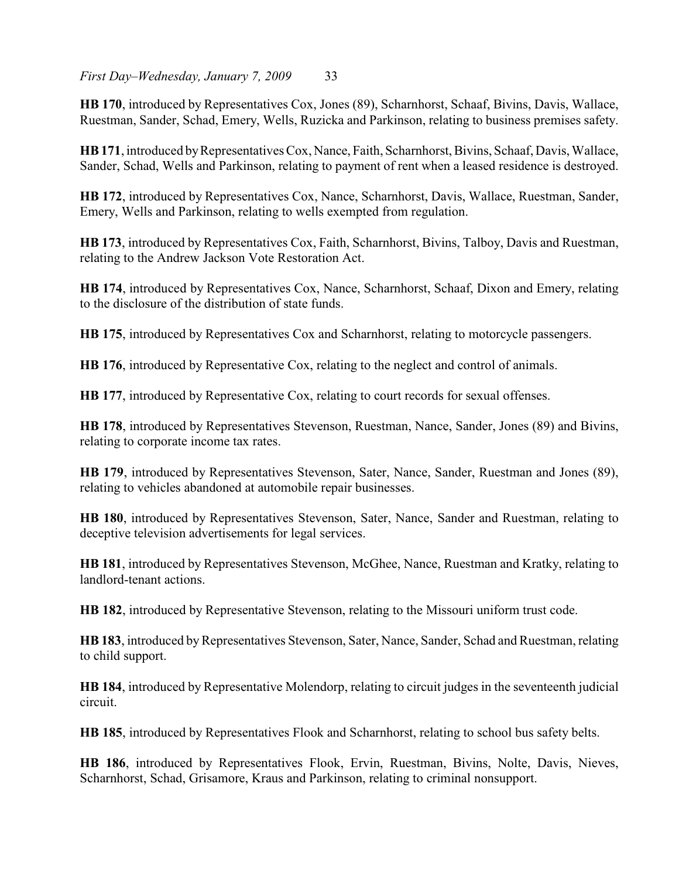**HB 170**, introduced by Representatives Cox, Jones (89), Scharnhorst, Schaaf, Bivins, Davis, Wallace, Ruestman, Sander, Schad, Emery, Wells, Ruzicka and Parkinson, relating to business premises safety.

**HB 171**, introduced by Representatives Cox, Nance, Faith, Scharnhorst, Bivins, Schaaf, Davis, Wallace, Sander, Schad, Wells and Parkinson, relating to payment of rent when a leased residence is destroyed.

**HB 172**, introduced by Representatives Cox, Nance, Scharnhorst, Davis, Wallace, Ruestman, Sander, Emery, Wells and Parkinson, relating to wells exempted from regulation.

**HB 173**, introduced by Representatives Cox, Faith, Scharnhorst, Bivins, Talboy, Davis and Ruestman, relating to the Andrew Jackson Vote Restoration Act.

**HB 174**, introduced by Representatives Cox, Nance, Scharnhorst, Schaaf, Dixon and Emery, relating to the disclosure of the distribution of state funds.

**HB 175**, introduced by Representatives Cox and Scharnhorst, relating to motorcycle passengers.

**HB 176**, introduced by Representative Cox, relating to the neglect and control of animals.

**HB 177**, introduced by Representative Cox, relating to court records for sexual offenses.

**HB 178**, introduced by Representatives Stevenson, Ruestman, Nance, Sander, Jones (89) and Bivins, relating to corporate income tax rates.

**HB 179**, introduced by Representatives Stevenson, Sater, Nance, Sander, Ruestman and Jones (89), relating to vehicles abandoned at automobile repair businesses.

**HB 180**, introduced by Representatives Stevenson, Sater, Nance, Sander and Ruestman, relating to deceptive television advertisements for legal services.

**HB 181**, introduced by Representatives Stevenson, McGhee, Nance, Ruestman and Kratky, relating to landlord-tenant actions.

**HB 182**, introduced by Representative Stevenson, relating to the Missouri uniform trust code.

HB 183, introduced by Representatives Stevenson, Sater, Nance, Sander, Schad and Ruestman, relating to child support.

**HB 184**, introduced by Representative Molendorp, relating to circuit judges in the seventeenth judicial circuit.

**HB 185**, introduced by Representatives Flook and Scharnhorst, relating to school bus safety belts.

**HB 186**, introduced by Representatives Flook, Ervin, Ruestman, Bivins, Nolte, Davis, Nieves, Scharnhorst, Schad, Grisamore, Kraus and Parkinson, relating to criminal nonsupport.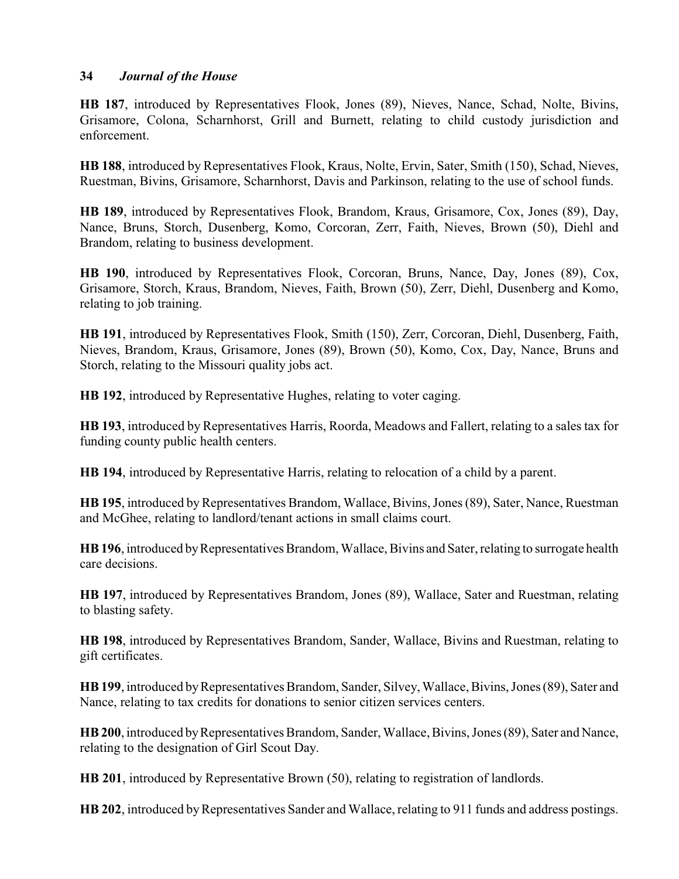**HB 187**, introduced by Representatives Flook, Jones (89), Nieves, Nance, Schad, Nolte, Bivins, Grisamore, Colona, Scharnhorst, Grill and Burnett, relating to child custody jurisdiction and enforcement.

**HB 188**, introduced by Representatives Flook, Kraus, Nolte, Ervin, Sater, Smith (150), Schad, Nieves, Ruestman, Bivins, Grisamore, Scharnhorst, Davis and Parkinson, relating to the use of school funds.

**HB 189**, introduced by Representatives Flook, Brandom, Kraus, Grisamore, Cox, Jones (89), Day, Nance, Bruns, Storch, Dusenberg, Komo, Corcoran, Zerr, Faith, Nieves, Brown (50), Diehl and Brandom, relating to business development.

**HB 190**, introduced by Representatives Flook, Corcoran, Bruns, Nance, Day, Jones (89), Cox, Grisamore, Storch, Kraus, Brandom, Nieves, Faith, Brown (50), Zerr, Diehl, Dusenberg and Komo, relating to job training.

**HB 191**, introduced by Representatives Flook, Smith (150), Zerr, Corcoran, Diehl, Dusenberg, Faith, Nieves, Brandom, Kraus, Grisamore, Jones (89), Brown (50), Komo, Cox, Day, Nance, Bruns and Storch, relating to the Missouri quality jobs act.

**HB 192**, introduced by Representative Hughes, relating to voter caging.

**HB 193**, introduced by Representatives Harris, Roorda, Meadows and Fallert, relating to a sales tax for funding county public health centers.

**HB 194**, introduced by Representative Harris, relating to relocation of a child by a parent.

**HB 195**, introduced by Representatives Brandom, Wallace, Bivins, Jones (89), Sater, Nance, Ruestman and McGhee, relating to landlord/tenant actions in small claims court.

**HB 196**, introduced by Representatives Brandom, Wallace, Bivins and Sater, relating to surrogate health care decisions.

**HB 197**, introduced by Representatives Brandom, Jones (89), Wallace, Sater and Ruestman, relating to blasting safety.

**HB 198**, introduced by Representatives Brandom, Sander, Wallace, Bivins and Ruestman, relating to gift certificates.

**HB 199**, introduced by Representatives Brandom, Sander, Silvey, Wallace, Bivins, Jones (89), Sater and Nance, relating to tax credits for donations to senior citizen services centers.

**HB 200**, introduced by Representatives Brandom, Sander, Wallace, Bivins, Jones (89), Sater and Nance, relating to the designation of Girl Scout Day.

**HB 201**, introduced by Representative Brown (50), relating to registration of landlords.

**HB 202**, introduced byRepresentatives Sander and Wallace, relating to 911 funds and address postings.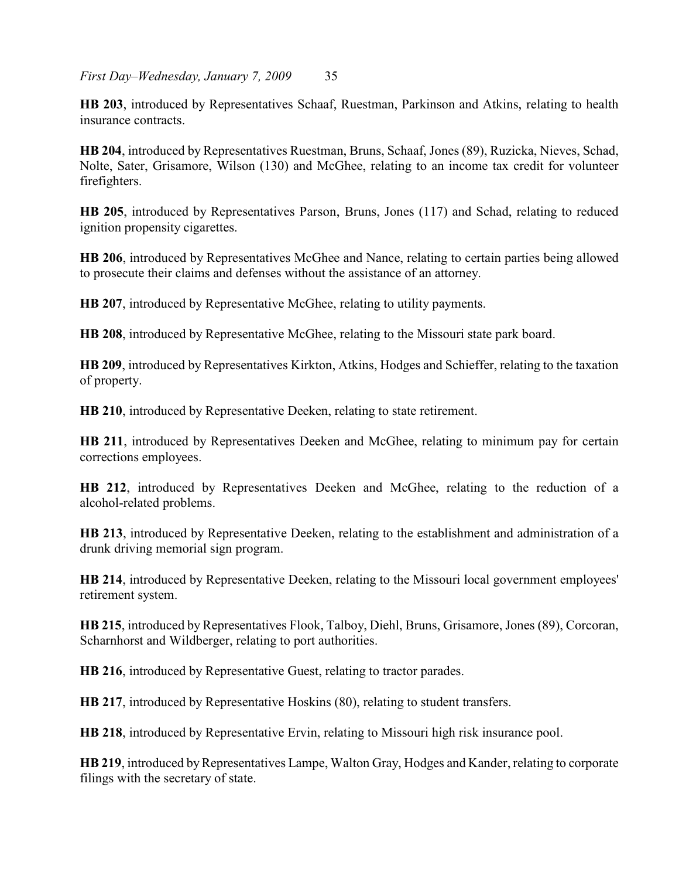**HB 203**, introduced by Representatives Schaaf, Ruestman, Parkinson and Atkins, relating to health insurance contracts.

**HB 204**, introduced by Representatives Ruestman, Bruns, Schaaf, Jones (89), Ruzicka, Nieves, Schad, Nolte, Sater, Grisamore, Wilson (130) and McGhee, relating to an income tax credit for volunteer firefighters.

**HB 205**, introduced by Representatives Parson, Bruns, Jones (117) and Schad, relating to reduced ignition propensity cigarettes.

**HB 206**, introduced by Representatives McGhee and Nance, relating to certain parties being allowed to prosecute their claims and defenses without the assistance of an attorney.

**HB 207**, introduced by Representative McGhee, relating to utility payments.

**HB 208**, introduced by Representative McGhee, relating to the Missouri state park board.

**HB 209**, introduced by Representatives Kirkton, Atkins, Hodges and Schieffer, relating to the taxation of property.

**HB 210**, introduced by Representative Deeken, relating to state retirement.

**HB 211**, introduced by Representatives Deeken and McGhee, relating to minimum pay for certain corrections employees.

**HB 212**, introduced by Representatives Deeken and McGhee, relating to the reduction of a alcohol-related problems.

**HB 213**, introduced by Representative Deeken, relating to the establishment and administration of a drunk driving memorial sign program.

**HB 214**, introduced by Representative Deeken, relating to the Missouri local government employees' retirement system.

**HB 215**, introduced by Representatives Flook, Talboy, Diehl, Bruns, Grisamore, Jones (89), Corcoran, Scharnhorst and Wildberger, relating to port authorities.

**HB 216**, introduced by Representative Guest, relating to tractor parades.

**HB 217**, introduced by Representative Hoskins (80), relating to student transfers.

**HB 218**, introduced by Representative Ervin, relating to Missouri high risk insurance pool.

**HB 219**, introduced by Representatives Lampe, Walton Gray, Hodges and Kander, relating to corporate filings with the secretary of state.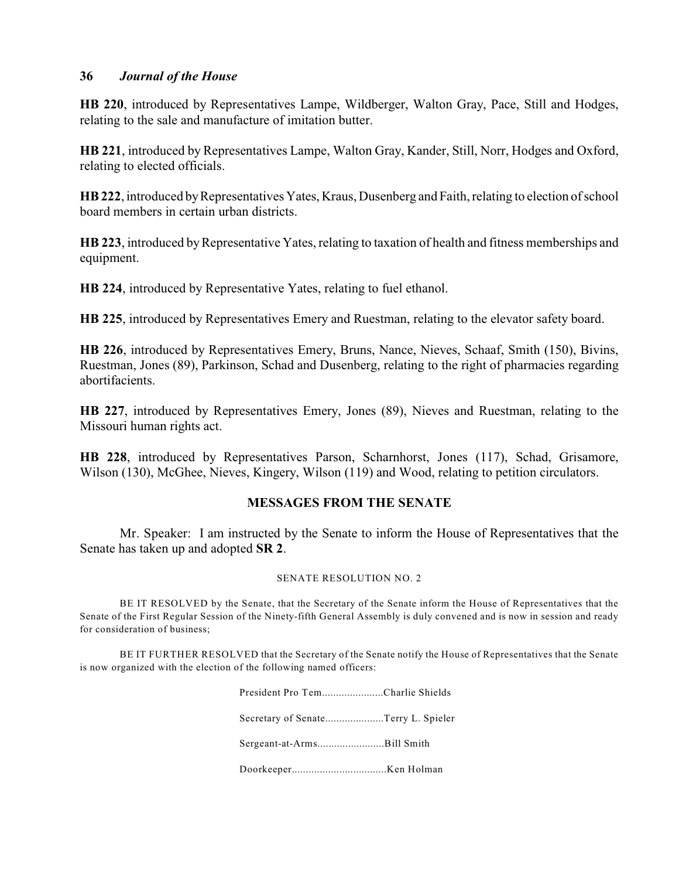**HB 220**, introduced by Representatives Lampe, Wildberger, Walton Gray, Pace, Still and Hodges, relating to the sale and manufacture of imitation butter.

**HB 221**, introduced by Representatives Lampe, Walton Gray, Kander, Still, Norr, Hodges and Oxford, relating to elected officials.

**HB 222**, introduced by Representatives Yates, Kraus, Dusenberg and Faith, relating to election of school board members in certain urban districts.

**HB 223**, introduced byRepresentative Yates, relating to taxation of health and fitness memberships and equipment.

**HB 224**, introduced by Representative Yates, relating to fuel ethanol.

**HB 225**, introduced by Representatives Emery and Ruestman, relating to the elevator safety board.

**HB 226**, introduced by Representatives Emery, Bruns, Nance, Nieves, Schaaf, Smith (150), Bivins, Ruestman, Jones (89), Parkinson, Schad and Dusenberg, relating to the right of pharmacies regarding abortifacients.

**HB 227**, introduced by Representatives Emery, Jones (89), Nieves and Ruestman, relating to the Missouri human rights act.

**HB 228**, introduced by Representatives Parson, Scharnhorst, Jones (117), Schad, Grisamore, Wilson (130), McGhee, Nieves, Kingery, Wilson (119) and Wood, relating to petition circulators.

## **MESSAGES FROM THE SENATE**

Mr. Speaker: I am instructed by the Senate to inform the House of Representatives that the Senate has taken up and adopted **SR 2**.

#### SENATE RESOLUTION NO. 2

BE IT RESOLVED by the Senate, that the Secretary of the Senate inform the House of Representatives that the Senate of the First Regular Session of the Ninety-fifth General Assembly is duly convened and is now in session and ready for consideration of business;

BE IT FURTHER RESOLVED that the Secretary of the Senate notify the House of Representatives that the Senate is now organized with the election of the following named officers:

| President Pro TemCharlie Shields    |  |
|-------------------------------------|--|
| Secretary of SenateTerry L. Spieler |  |
| Sergeant-at-ArmsBill Smith          |  |
|                                     |  |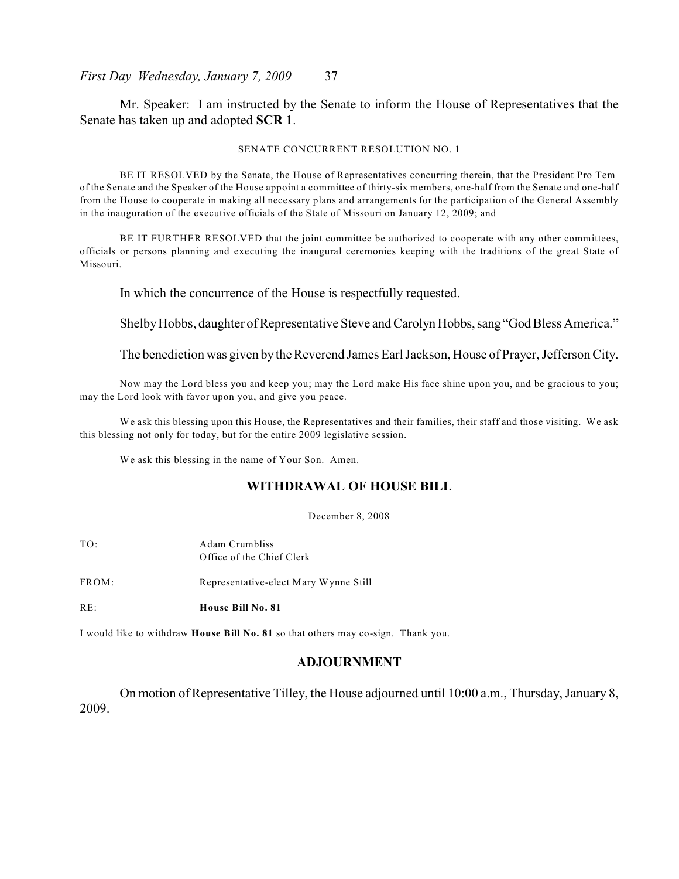Mr. Speaker: I am instructed by the Senate to inform the House of Representatives that the Senate has taken up and adopted **SCR 1**.

#### SENATE CONCURRENT RESOLUTION NO. 1

BE IT RESOLVED by the Senate, the House of Representatives concurring therein, that the President Pro Tem of the Senate and the Speaker of the House appoint a committee of thirty-six members, one-half from the Senate and one-half from the House to cooperate in making all necessary plans and arrangements for the participation of the General Assembly in the inauguration of the executive officials of the State of Missouri on January 12, 2009; and

BE IT FURTHER RESOLVED that the joint committee be authorized to cooperate with any other committees, officials or persons planning and executing the inaugural ceremonies keeping with the traditions of the great State of Missouri.

In which the concurrence of the House is respectfully requested.

Shelby Hobbs, daughter of Representative Steve and Carolyn Hobbs, sang "God Bless America."

The benediction was given by the Reverend James Earl Jackson, House of Prayer, Jefferson City.

Now may the Lord bless you and keep you; may the Lord make His face shine upon you, and be gracious to you; may the Lord look with favor upon you, and give you peace.

We ask this blessing upon this House, the Representatives and their families, their staff and those visiting. We ask this blessing not only for today, but for the entire 2009 legislative session.

We ask this blessing in the name of Your Son. Amen.

## **WITHDRAWAL OF HOUSE BILL**

December 8, 2008

| RE∴   | House Bill No. 81                           |
|-------|---------------------------------------------|
| FROM: | Representative-elect Mary Wynne Still       |
| TO:   | Adam Crumbliss<br>Office of the Chief Clerk |

I would like to withdraw **House Bill No. 81** so that others may co-sign. Thank you.

## **ADJOURNMENT**

On motion of Representative Tilley, the House adjourned until 10:00 a.m., Thursday, January 8, 2009.